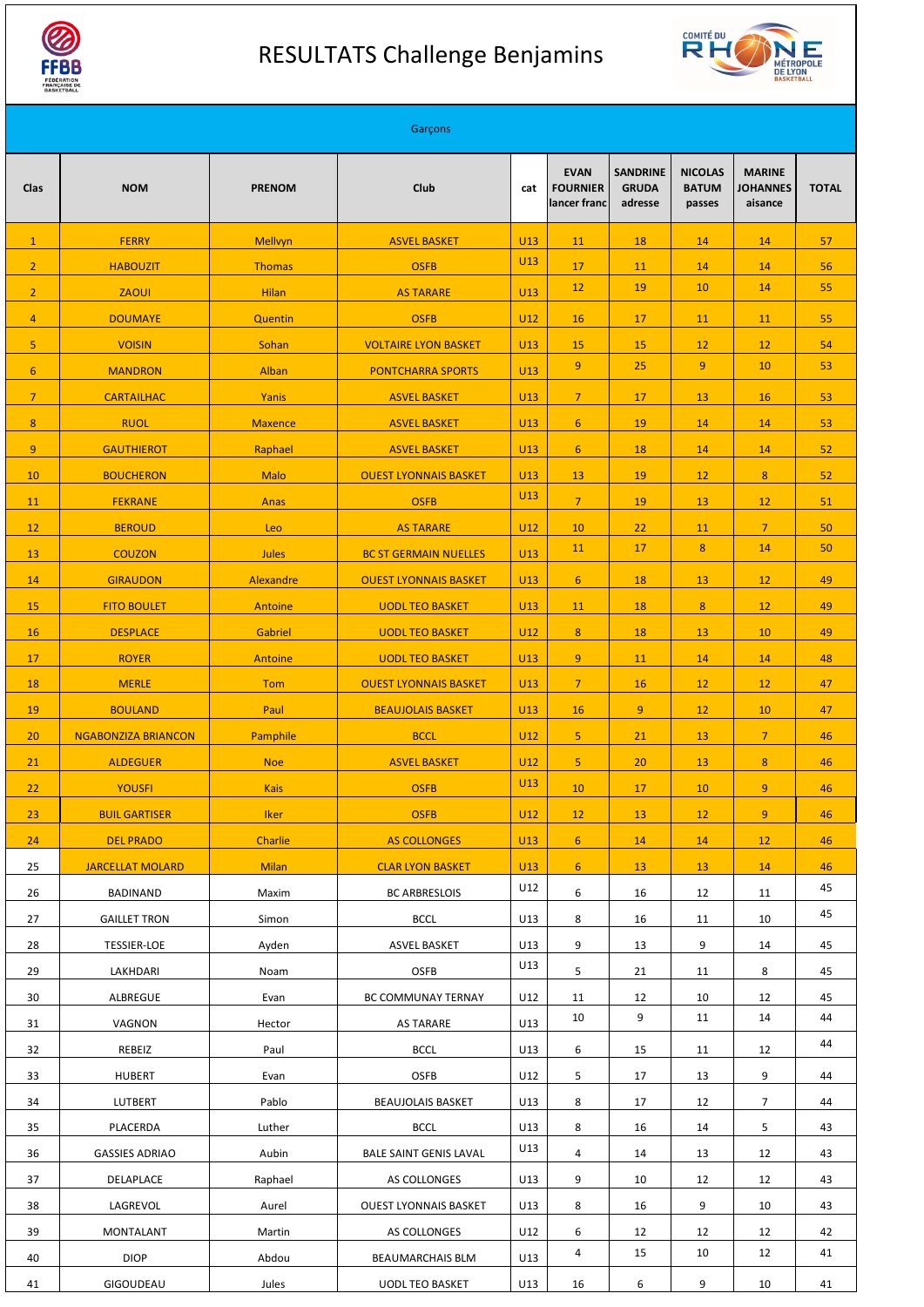

## RESULTATS Challenge Benjamins



|                  |                            |                | Garçons                      |            |                                                |                                            |                                          |                                             |              |
|------------------|----------------------------|----------------|------------------------------|------------|------------------------------------------------|--------------------------------------------|------------------------------------------|---------------------------------------------|--------------|
| <b>Clas</b>      | <b>NOM</b>                 | <b>PRENOM</b>  | <b>Club</b>                  | cat        | <b>EVAN</b><br><b>FOURNIER</b><br>lancer franc | <b>SANDRINE</b><br><b>GRUDA</b><br>adresse | <b>NICOLAS</b><br><b>BATUM</b><br>passes | <b>MARINE</b><br><b>JOHANNES</b><br>aisance | <b>TOTAL</b> |
| $\mathbf{1}$     | <b>FERRY</b>               | Mellvyn        | <b>ASVEL BASKET</b>          | U13        | 11                                             | 18                                         | 14                                       | 14                                          | 57           |
| $\overline{2}$   | <b>HABOUZIT</b>            | <b>Thomas</b>  | <b>OSFB</b>                  | U13        | 17                                             | 11                                         | 14                                       | 14                                          | 56           |
| $\overline{2}$   | <b>ZAOUI</b>               | <b>Hilan</b>   | <b>AS TARARE</b>             | U13        | 12                                             | 19                                         | 10                                       | 14                                          | 55           |
| $\overline{4}$   | <b>DOUMAYE</b>             | Quentin        | <b>OSFB</b>                  | U12        | 16                                             | 17                                         | 11                                       | 11                                          | 55           |
| 5                | <b>VOISIN</b>              | Sohan          | <b>VOLTAIRE LYON BASKET</b>  | U13        | 15                                             | 15                                         | 12                                       | 12                                          | 54           |
| $6 \overline{6}$ | <b>MANDRON</b>             | Alban          | <b>PONTCHARRA SPORTS</b>     | U13        | 9                                              | 25                                         | 9 <sup>°</sup>                           | 10                                          | 53           |
| $\overline{7}$   | <b>CARTAILHAC</b>          | Yanis          | <b>ASVEL BASKET</b>          | U13        | $\overline{7}$                                 | 17                                         | 13                                       | 16                                          | 53           |
| $\boldsymbol{8}$ | <b>RUOL</b>                | <b>Maxence</b> | <b>ASVEL BASKET</b>          | U13        | $6 \overline{6}$                               | 19                                         | 14                                       | 14                                          | 53           |
| $\overline{9}$   | <b>GAUTHIEROT</b>          | Raphael        | <b>ASVEL BASKET</b>          | U13        | $6 \overline{6}$                               | 18                                         | 14                                       | 14                                          | 52           |
| 10               | <b>BOUCHERON</b>           | <b>Malo</b>    | <b>OUEST LYONNAIS BASKET</b> | U13        | 13                                             | 19                                         | 12                                       | 8                                           | 52           |
| 11               | <b>FEKRANE</b>             | Anas           | <b>OSFB</b>                  | U13        | $\overline{7}$                                 | 19                                         | 13                                       | 12                                          | 51           |
| 12               | <b>BEROUD</b>              | Leo            | <b>AS TARARE</b>             | U12        | 10                                             | 22                                         | 11                                       | $\overline{7}$                              | 50           |
| 13               | <b>COUZON</b>              | <b>Jules</b>   | <b>BC ST GERMAIN NUELLES</b> | <b>U13</b> | 11                                             | 17                                         | 8                                        | 14                                          | 50           |
| 14               | <b>GIRAUDON</b>            | Alexandre      | <b>OUEST LYONNAIS BASKET</b> | U13        | $6\phantom{1}$                                 | 18                                         | 13                                       | 12                                          | 49           |
| 15               | <b>FITO BOULET</b>         | Antoine        | <b>UODL TEO BASKET</b>       | U13        | <b>11</b>                                      | 18                                         | 8                                        | 12                                          | 49           |
| 16               | <b>DESPLACE</b>            | Gabriel        | <b>UODL TEO BASKET</b>       | U12        | 8                                              | 18                                         | 13                                       | 10                                          | 49           |
| 17               | <b>ROYER</b>               | Antoine        | <b>UODL TEO BASKET</b>       | <b>U13</b> | 9 <sup>°</sup>                                 | 11                                         | 14                                       | 14                                          | 48           |
| 18               | <b>MERLE</b>               | Tom            | <b>OUEST LYONNAIS BASKET</b> | U13        | 7 <sup>7</sup>                                 | 16                                         | 12                                       | 12                                          | 47           |
| 19               | <b>BOULAND</b>             | Paul           | <b>BEAUJOLAIS BASKET</b>     | <b>U13</b> | 16                                             | 9 <sup>°</sup>                             | 12                                       | 10                                          | 47           |
| 20               | <b>NGABONZIZA BRIANCON</b> | Pamphile       | <b>BCCL</b>                  | U12        | 5 <sub>1</sub>                                 | 21                                         | 13                                       | 7 <sup>2</sup>                              | 46           |
| 21               | <b>ALDEGUER</b>            | <b>Noe</b>     | <b>ASVEL BASKET</b>          | U12        | 5 <sub>1</sub>                                 | 20                                         | 13                                       | 8                                           | 46           |
| 22               | <b>YOUSFI</b>              | <b>Kais</b>    | <b>OSFB</b>                  | U13        | 10                                             | 17                                         | 10                                       | 9 <sup>°</sup>                              | 46           |
| 23               | <b>BUIL GARTISER</b>       | <b>Iker</b>    | <b>OSFB</b>                  | U12        | 12                                             | 13                                         | 12                                       | 9 <sup>°</sup>                              | 46           |
| 24               | <b>DEL PRADO</b>           | Charlie        | <b>AS COLLONGES</b>          | <b>U13</b> | 6 <sup>1</sup>                                 | 14                                         | 14                                       | 12                                          | 46           |
| 25               | <b>JARCELLAT MOLARD</b>    | <b>Milan</b>   | <b>CLAR LYON BASKET</b>      | U13        | 6 <sup>1</sup>                                 | 13                                         | 13                                       | 14                                          | 46           |
| 26               | <b>BADINAND</b>            | Maxim          | <b>BC ARBRESLOIS</b>         | U12        | 6                                              | 16                                         | 12                                       | 11                                          | 45           |
| 27               | <b>GAILLET TRON</b>        | Simon          | <b>BCCL</b>                  | U13        | 8                                              | 16                                         | 11                                       | 10                                          | 45           |
| 28               | <b>TESSIER-LOE</b>         | Ayden          | <b>ASVEL BASKET</b>          | U13        | 9                                              | 13                                         | 9                                        | 14                                          | 45           |
| 29               | LAKHDARI                   | Noam           | <b>OSFB</b>                  | U13        | 5                                              | 21                                         | 11                                       | 8                                           | 45           |
| 30               | <b>ALBREGUE</b>            | Evan           | BC COMMUNAY TERNAY           | U12        | 11                                             | 12                                         | 10                                       | 12                                          | 45           |
| 31               | VAGNON                     | Hector         | <b>AS TARARE</b>             | U13        | 10                                             | 9                                          | 11                                       | 14                                          | 44           |
| 32               | REBEIZ                     | Paul           | <b>BCCL</b>                  | U13        | 6                                              | 15                                         | 11                                       | 12                                          | 44           |
| 33               | <b>HUBERT</b>              | Evan           | <b>OSFB</b>                  | U12        | 5                                              | 17                                         | 13                                       | 9                                           | 44           |
| 34               | <b>LUTBERT</b>             | Pablo          | <b>BEAUJOLAIS BASKET</b>     | U13        | 8                                              | 17                                         | 12                                       | 7                                           | 44           |
| 35               | PLACERDA                   | Luther         | <b>BCCL</b>                  | U13        | 8                                              | 16                                         | 14                                       | 5                                           | 43           |
| 36               | <b>GASSIES ADRIAO</b>      | Aubin          | BALE SAINT GENIS LAVAL       | U13        | $\overline{4}$                                 | 14                                         | 13                                       | 12                                          | 43           |
| 37               | DELAPLACE                  | Raphael        | AS COLLONGES                 | U13        | 9                                              | 10                                         | 12                                       | 12                                          | 43           |
| 38               | LAGREVOL                   | Aurel          | <b>OUEST LYONNAIS BASKET</b> | U13        | 8                                              | 16                                         | 9                                        | 10                                          | 43           |
| 39               | <b>MONTALANT</b>           | Martin         | AS COLLONGES                 | U12        | 6                                              | 12                                         | 12                                       | 12                                          | 42           |
| 40               | <b>DIOP</b>                | Abdou          | <b>BEAUMARCHAIS BLM</b>      | U13        | 4                                              | 15                                         | 10                                       | 12                                          | 41           |
| 41               | GIGOUDEAU                  | Jules          | <b>UODL TEO BASKET</b>       | U13        | 16                                             | 6                                          | 9                                        | 10                                          | 41           |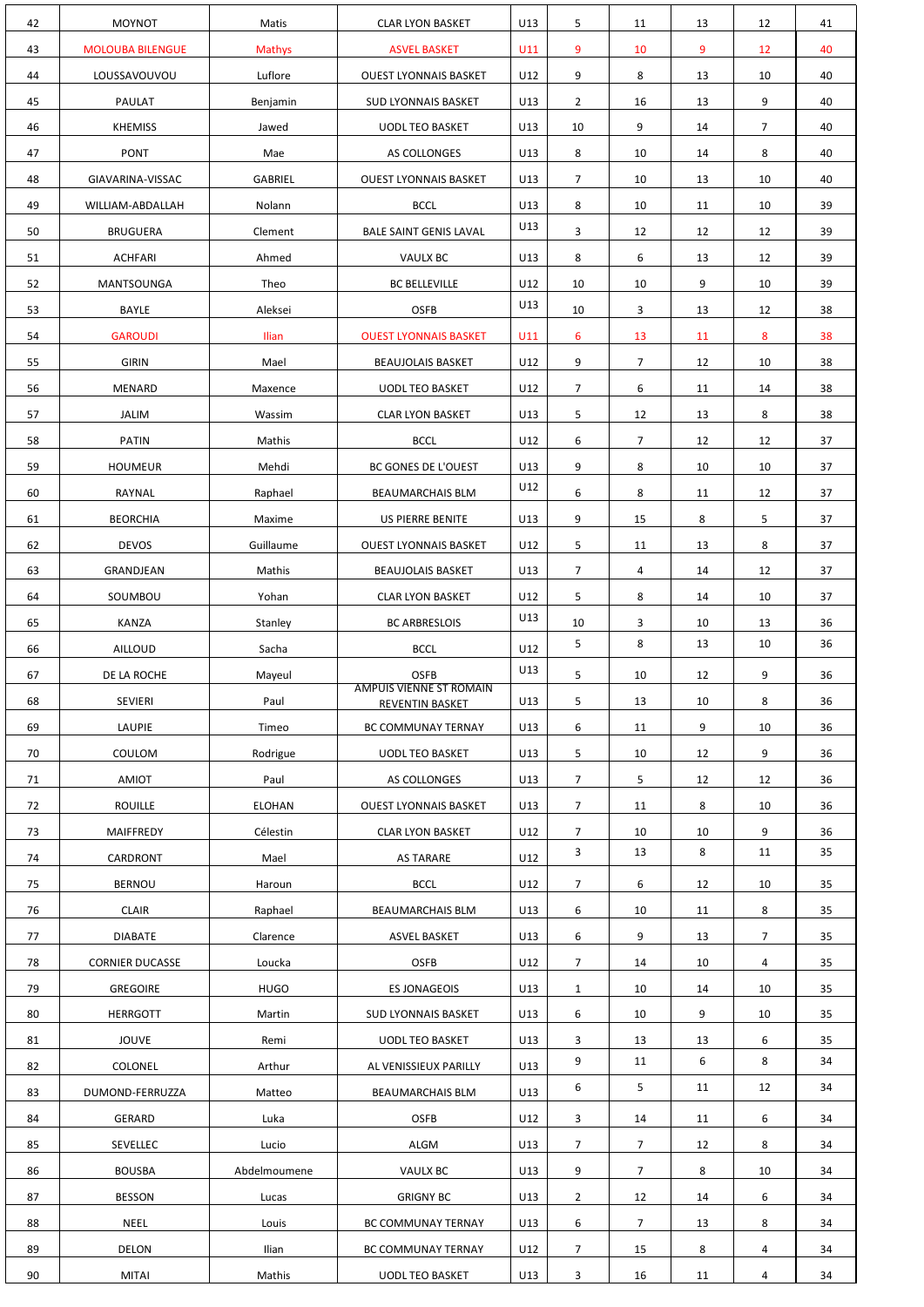| 42       | <b>MOYNOT</b>                    | Matis          | <b>CLAR LYON BASKET</b>                       | U13        | 5                   | 11             | 13      | 12             | 41       |
|----------|----------------------------------|----------------|-----------------------------------------------|------------|---------------------|----------------|---------|----------------|----------|
| 43       | <b>MOLOUBA BILENGUE</b>          | Mathys         | <b>ASVEL BASKET</b>                           | U11        | 9                   | 10             | 9       | 12             | 40       |
| 44       | LOUSSAVOUVOU                     | Luflore        | <b>OUEST LYONNAIS BASKET</b>                  | U12        | 9                   | 8              | 13      | 10             | 40       |
| 45       | PAULAT                           | Benjamin       | <b>SUD LYONNAIS BASKET</b>                    | U13        | $\overline{2}$      | 16             | 13      | 9              | 40       |
| 46       | <b>KHEMISS</b>                   | Jawed          | <b>UODL TEO BASKET</b>                        | U13        | 10                  | 9              | 14      | $\overline{7}$ | 40       |
| 47       | <b>PONT</b>                      | Mae            | AS COLLONGES                                  | U13        | 8                   | 10             | 14      | 8              | 40       |
| 48       | GIAVARINA-VISSAC                 | <b>GABRIEL</b> | <b>OUEST LYONNAIS BASKET</b>                  | U13        | $\overline{7}$      | 10             | 13      | 10             | 40       |
| 49       | WILLIAM-ABDALLAH                 | Nolann         | <b>BCCL</b>                                   | U13        | 8                   | 10             | 11      | 10             | 39       |
| 50       | <b>BRUGUERA</b>                  | Clement        | <b>BALE SAINT GENIS LAVAL</b>                 | U13        | 3                   | 12             | 12      | 12             | 39       |
| 51       | <b>ACHFARI</b>                   | Ahmed          | <b>VAULX BC</b>                               | U13        | 8                   | 6              | 13      | 12             | 39       |
| 52       | MANTSOUNGA                       | Theo           | <b>BC BELLEVILLE</b>                          | U12        | 10                  | 10             | 9       | 10             | 39       |
| 53       | <b>BAYLE</b>                     | Aleksei        | <b>OSFB</b>                                   | U13        | 10                  | 3              | 13      | 12             | 38       |
| 54       | <b>GAROUDI</b>                   | Ilian          | <b>OUEST LYONNAIS BASKET</b>                  | U11        | 6                   | 13             | 11      | 8              | 38       |
| 55       | <b>GIRIN</b>                     | Mael           | <b>BEAUJOLAIS BASKET</b>                      | U12        | 9                   | $\overline{7}$ | 12      | 10             | 38       |
| 56       | MENARD                           | Maxence        | <b>UODL TEO BASKET</b>                        | U12        | $\overline{7}$      | 6              | 11      | 14             | 38       |
| 57       | <b>JALIM</b>                     | Wassim         | <b>CLAR LYON BASKET</b>                       | U13        | 5                   | 12             | 13      | 8              | 38       |
| 58       | <b>PATIN</b>                     | Mathis         | <b>BCCL</b>                                   | U12        | 6                   | $\overline{7}$ | 12      | 12             | 37       |
| 59       | <b>HOUMEUR</b>                   | Mehdi          | BC GONES DE L'OUEST                           | U13        | 9                   | 8              | 10      | 10             | 37       |
| 60       | RAYNAL                           | Raphael        | <b>BEAUMARCHAIS BLM</b>                       | U12        | 6                   | 8              | 11      | 12             | 37       |
| 61       | <b>BEORCHIA</b>                  | Maxime         | US PIERRE BENITE                              | U13        | 9                   | 15             | 8       | 5              | 37       |
| 62       | <b>DEVOS</b>                     | Guillaume      | <b>OUEST LYONNAIS BASKET</b>                  | U12        | 5                   | 11             | 13      | 8              | 37       |
| 63       | GRANDJEAN                        | Mathis         | <b>BEAUJOLAIS BASKET</b>                      | U13        | $7\overline{ }$     | $\overline{4}$ | 14      | 12             | 37       |
| 64       | SOUMBOU                          | Yohan          | <b>CLAR LYON BASKET</b>                       | U12        | 5                   | 8              | 14      | 10             | 37       |
| 65       | KANZA                            | Stanley        | <b>BC ARBRESLOIS</b>                          | U13        | 10                  | $\mathbf{3}$   | 10      | 13             | 36       |
| 66       | AILLOUD                          | Sacha          | <b>BCCL</b>                                   | U12        | 5                   | 8              | 13      | 10             | 36       |
| 67       | DE LA ROCHE                      | Mayeul         | <b>OSFB</b><br><b>AMPUIS VIENNE ST ROMAIN</b> | U13        | 5                   | 10             | 12      | 9              | 36       |
| 68       | <b>SEVIERI</b>                   | Paul           | REVENTIN BASKET                               | U13        | 5                   | 13             | 10      | 8              | 36       |
| 69       | LAUPIE                           | Timeo          | BC COMMUNAY TERNAY                            | U13        | 6                   | 11             | 9       | 10             | 36       |
| 70       | COULOM                           | Rodrigue       | <b>UODL TEO BASKET</b>                        | U13        | 5                   | 10             | 12      | 9              | 36       |
| 71       | AMIOT                            | Paul           | AS COLLONGES                                  | U13        | $7\overline{ }$     | 5              | 12      | 12             | 36       |
| 72       | <b>ROUILLE</b>                   | <b>ELOHAN</b>  | <b>OUEST LYONNAIS BASKET</b>                  | U13        | $7\overline{ }$     | 11             | 8       | 10             | 36       |
| 73       | MAIFFREDY                        | Célestin       | <b>CLAR LYON BASKET</b>                       | U12        | $\overline{7}$<br>3 | 10<br>13       | 10<br>8 | 9<br>11        | 36<br>35 |
| 74       | CARDRONT                         | Mael           | <b>AS TARARE</b>                              | U12        |                     |                |         |                |          |
| 75       | <b>BERNOU</b>                    | Haroun         | <b>BCCL</b>                                   | U12        | $7\overline{ }$     | 6              | 12      | 10             | 35       |
| 76       | <b>CLAIR</b>                     | Raphael        | <b>BEAUMARCHAIS BLM</b>                       | U13        | 6                   | 10             | 11      | 8              | 35       |
| 77       | <b>DIABATE</b>                   | Clarence       | <b>ASVEL BASKET</b>                           | U13        | 6                   | 9              | 13      | $\overline{7}$ | 35       |
| 78       | <b>CORNIER DUCASSE</b>           | Loucka         | <b>OSFB</b>                                   | U12        | $\overline{7}$      | 14             | 10      | 4              | 35       |
| 79       | <b>GREGOIRE</b>                  | <b>HUGO</b>    | <b>ES JONAGEOIS</b>                           | U13        | $\mathbf{1}$        | 10             | 14      | 10             | 35       |
| 80       | <b>HERRGOTT</b>                  | Martin         | <b>SUD LYONNAIS BASKET</b>                    | U13        | 6                   | 10             | 9       | 10             | 35       |
| 81       | <b>JOUVE</b>                     | Remi           | <b>UODL TEO BASKET</b>                        | U13        | 3<br>9              | 13<br>11       | 13<br>6 | 6<br>8         | 35<br>34 |
| 82       | <b>COLONEL</b>                   | Arthur         | AL VENISSIEUX PARILLY                         | U13        | 6                   | 5              | 11      | 12             | 34       |
| 83<br>84 | DUMOND-FERRUZZA<br><b>GERARD</b> | Matteo<br>Luka | <b>BEAUMARCHAIS BLM</b><br><b>OSFB</b>        | U13<br>U12 | 3                   | 14             | 11      | 6              | 34       |
| 85       | SEVELLEC                         | Lucio          | ALGM                                          | U13        | $\overline{7}$      | $\overline{7}$ | 12      | 8              | 34       |
| 86       | <b>BOUSBA</b>                    | Abdelmoumene   | <b>VAULX BC</b>                               | U13        | 9                   | $\overline{7}$ | 8       | 10             | 34       |
| 87       | <b>BESSON</b>                    | Lucas          | <b>GRIGNY BC</b>                              | U13        | $\overline{2}$      | 12             | 14      | 6              | 34       |
| 88       | <b>NEEL</b>                      | Louis          | BC COMMUNAY TERNAY                            | U13        | 6                   | $\overline{7}$ | 13      | 8              | 34       |
| 89       | <b>DELON</b>                     | Ilian          | BC COMMUNAY TERNAY                            | U12        | $\overline{7}$      | 15             | 8       | 4              | 34       |
| 90       | <b>MITAI</b>                     | Mathis         | <b>UODL TEO BASKET</b>                        | U13        | 3                   | 16             | 11      | 4              | 34       |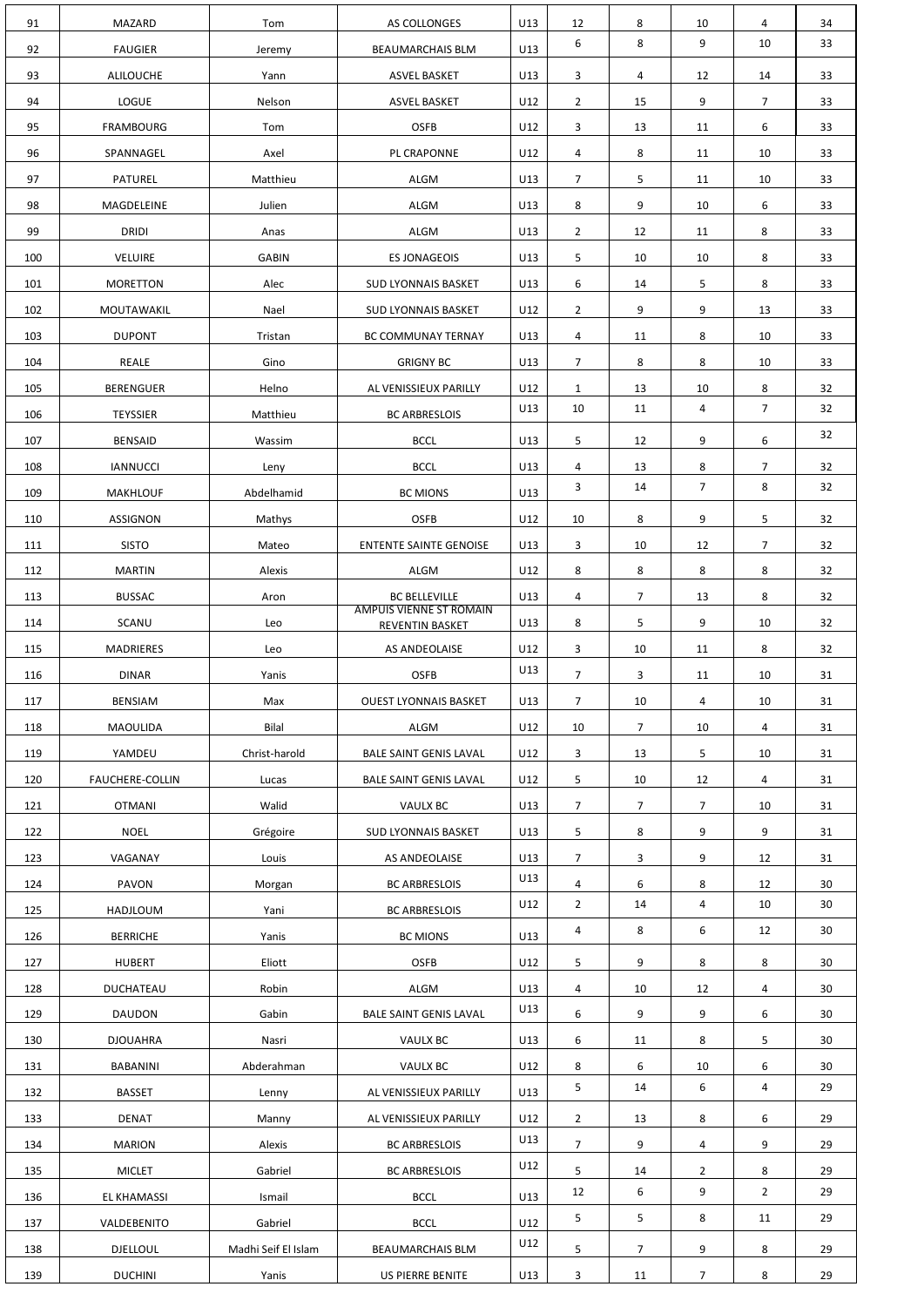| 91         | MAZARD                            | Tom                          | AS COLLONGES                                           | U13        | 12             | 8                    | 10                  | 4              | 34       |
|------------|-----------------------------------|------------------------------|--------------------------------------------------------|------------|----------------|----------------------|---------------------|----------------|----------|
| 92         | <b>FAUGIER</b>                    | Jeremy                       | <b>BEAUMARCHAIS BLM</b>                                | U13        | 6              | 8                    | 9                   | 10             | 33       |
| 93         | <b>ALILOUCHE</b>                  | Yann                         | <b>ASVEL BASKET</b>                                    | U13        | 3              | 4                    | 12                  | 14             | 33       |
| 94         | <b>LOGUE</b>                      | Nelson                       | <b>ASVEL BASKET</b>                                    | U12        | $\overline{2}$ | 15                   | 9                   | $\overline{7}$ | 33       |
| 95         | <b>FRAMBOURG</b>                  | Tom                          | <b>OSFB</b>                                            | U12        | 3              | 13                   | 11                  | 6              | 33       |
| 96         | SPANNAGEL                         | Axel                         | PL CRAPONNE                                            | U12        | 4              | 8                    | 11                  | 10             | 33       |
| 97         | PATUREL                           | Matthieu                     | ALGM                                                   | U13        | $\overline{7}$ | 5                    | 11                  | 10             | 33       |
| 98         | MAGDELEINE                        | Julien                       | ALGM                                                   | U13        | 8              | 9                    | 10                  | 6              | 33       |
| 99         | <b>DRIDI</b>                      | Anas                         | ALGM                                                   | U13        | $\overline{2}$ | 12                   | 11                  | 8              | 33       |
| 100        | <b>VELUIRE</b>                    | <b>GABIN</b>                 | <b>ES JONAGEOIS</b>                                    | U13        | 5              | 10                   | 10                  | 8              | 33       |
| 101        | <b>MORETTON</b>                   | Alec                         | <b>SUD LYONNAIS BASKET</b>                             | U13        | 6              | 14                   | 5                   | 8              | 33       |
| 102        | MOUTAWAKIL                        | Nael                         | <b>SUD LYONNAIS BASKET</b>                             | U12        | $\overline{2}$ | 9                    | 9                   | 13             | 33       |
| 103        | <b>DUPONT</b>                     | Tristan                      | BC COMMUNAY TERNAY                                     | U13        | 4              | 11                   | 8                   | 10             | 33       |
| 104        | REALE                             | Gino                         | <b>GRIGNY BC</b>                                       | U13        | $\overline{7}$ | 8                    | 8                   | 10             | 33       |
| 105        | <b>BERENGUER</b>                  | Helno                        | AL VENISSIEUX PARILLY                                  | U12        | $\mathbf{1}$   | 13                   | 10                  | 8              | 32       |
| 106        | <b>TEYSSIER</b>                   | Matthieu                     | <b>BC ARBRESLOIS</b>                                   | U13        | 10             | 11                   | 4                   | $\overline{7}$ | 32       |
| 107        | <b>BENSAID</b>                    | Wassim                       | <b>BCCL</b>                                            | U13        | 5              | 12                   | 9                   | 6              | 32       |
| 108        | <b>IANNUCCI</b>                   | Leny                         | <b>BCCL</b>                                            | U13        | 4              | 13                   | 8                   | $\overline{7}$ | 32       |
| 109        | <b>MAKHLOUF</b>                   | Abdelhamid                   | <b>BC MIONS</b>                                        | U13        | 3              | 14                   | $\overline{7}$      | 8              | 32       |
| 110        | <b>ASSIGNON</b>                   | Mathys                       | <b>OSFB</b>                                            | U12        | 10             | 8                    | 9                   | 5              | 32       |
| 111        | <b>SISTO</b>                      | Mateo                        | <b>ENTENTE SAINTE GENOISE</b>                          | U13        | 3              | 10                   | 12                  | $\overline{7}$ | 32       |
| 112        | <b>MARTIN</b>                     | Alexis                       | ALGM                                                   | U12        | 8              | 8                    | 8                   | 8              | 32       |
| 113        | <b>BUSSAC</b>                     | Aron                         | <b>BC BELLEVILLE</b><br><b>AMPUIS VIENNE ST ROMAIN</b> | U13        | 4              | $\overline{7}$       | 13                  | 8              | 32       |
| 114        | SCANU                             | Leo                          | REVENTIN BASKET                                        | U13        | 8              | 5                    | 9                   | 10             | 32       |
| 115        | <b>MADRIERES</b>                  | Leo                          | AS ANDEOLAISE                                          | U12        | $\mathbf{3}$   | 10                   | 11                  | 8              | 32       |
| 116        | <b>DINAR</b>                      | Yanis                        | <b>OSFB</b>                                            | U13        | 7 <sup>7</sup> | $\mathbf{3}$         | 11                  | 10             | 31       |
| 117        | BENSIAM                           | Max                          | <b>OUEST LYONNAIS BASKET</b>                           | U13        | 7 <sup>7</sup> | 10                   | 4                   | 10             | 31       |
| 118        | MAOULIDA                          | Bilal                        | ALGM                                                   | U12        | 10             | $\overline{7}$       | 10                  | 4              | 31       |
| 119        | YAMDEU                            | Christ-harold                | <b>BALE SAINT GENIS LAVAL</b>                          | U12        | 3              | 13                   | 5                   | 10             | 31       |
| 120        | <b>FAUCHERE-COLLIN</b>            | Lucas                        | <b>BALE SAINT GENIS LAVAL</b>                          | U12        | 5              | 10                   | 12                  | 4              | 31       |
| 121        |                                   |                              |                                                        |            |                |                      |                     |                |          |
|            | <b>OTMANI</b>                     | Walid                        | <b>VAULX BC</b>                                        | U13        | 7 <sup>7</sup> | $\overline{7}$       | $7^{\circ}$         | 10             | 31       |
| 122        | <b>NOEL</b>                       | Grégoire                     | <b>SUD LYONNAIS BASKET</b>                             | U13        | 5              | 8                    | 9                   | 9              | 31       |
| 123        | VAGANAY                           | Louis                        | AS ANDEOLAISE                                          | U13        | 7 <sup>7</sup> | 3                    | 9                   | 12             | 31       |
| 124        | PAVON                             | Morgan                       | <b>BC ARBRESLOIS</b>                                   | U13        | $\overline{4}$ | 6                    | 8                   | 12             | 30       |
| 125        | <b>HADJLOUM</b>                   | Yani                         | <b>BC ARBRESLOIS</b>                                   | U12        | $2^{\circ}$    | 14                   | 4                   | 10             | 30       |
| 126        | <b>BERRICHE</b>                   | Yanis                        | <b>BC MIONS</b>                                        | U13        | 4              | 8                    | 6                   | 12             | 30       |
| 127        | <b>HUBERT</b>                     | Eliott                       | <b>OSFB</b>                                            | U12        | 5              | 9                    | 8                   | 8              | 30       |
| 128        | DUCHATEAU                         | Robin                        | ALGM                                                   | U13        | 4              | 10                   | 12                  | 4              | 30       |
| 129        | <b>DAUDON</b>                     | Gabin                        | <b>BALE SAINT GENIS LAVAL</b>                          | U13        | 6              | 9                    | 9                   | 6              | 30       |
| 130        | <b>DJOUAHRA</b>                   | Nasri                        | VAULX BC                                               | U13        | 6              | 11                   | 8                   | 5              | 30       |
| 131        | <b>BABANINI</b>                   | Abderahman                   | VAULX BC                                               | U12        | 8              | 6                    | 10                  | 6              | 30       |
| 132        | <b>BASSET</b>                     | Lenny                        | AL VENISSIEUX PARILLY                                  | U13        | 5              | 14                   | 6                   | 4              | 29       |
| 133        | <b>DENAT</b>                      | Manny                        | AL VENISSIEUX PARILLY                                  | U12        | $2^{\circ}$    | 13                   | 8                   | 6              | 29       |
| 134        | <b>MARION</b>                     | Alexis                       | <b>BC ARBRESLOIS</b>                                   | U13        | $\overline{7}$ | 9                    | $\overline{4}$      | 9              | 29       |
| 135        | <b>MICLET</b>                     | Gabriel                      | <b>BC ARBRESLOIS</b>                                   | U12        | 5              | 14                   | $\overline{2}$      | 8              | 29       |
| 136        | <b>EL KHAMASSI</b>                | Ismail                       | <b>BCCL</b>                                            | U13        | 12             | 6                    | 9                   | $\overline{2}$ | 29       |
| 137        | VALDEBENITO                       | Gabriel                      | <b>BCCL</b>                                            | U12        | 5              | 5                    | 8                   | 11             | 29       |
| 138<br>139 | <b>DJELLOUL</b><br><b>DUCHINI</b> | Madhi Seif El Islam<br>Yanis | <b>BEAUMARCHAIS BLM</b><br>US PIERRE BENITE            | U12<br>U13 | 5<br>3         | $\overline{7}$<br>11 | 9<br>7 <sup>7</sup> | 8<br>8         | 29<br>29 |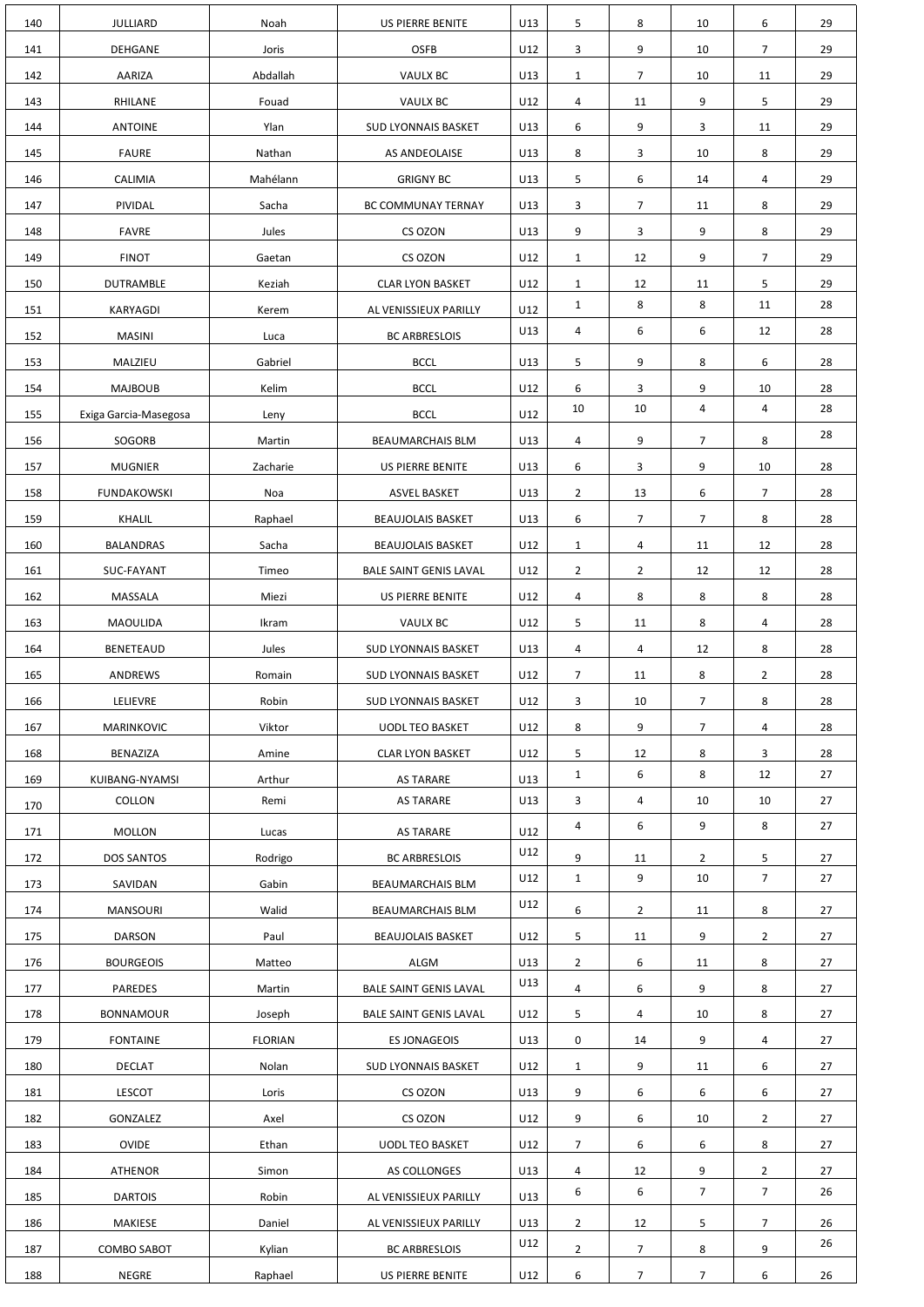| 140 | <b>JULLIARD</b>       | Noah           | US PIERRE BENITE              | U13 | 5              | 8              | 10              | 6               | 29 |
|-----|-----------------------|----------------|-------------------------------|-----|----------------|----------------|-----------------|-----------------|----|
| 141 | <b>DEHGANE</b>        | Joris          | <b>OSFB</b>                   | U12 | 3              | 9              | 10              | $\overline{7}$  | 29 |
| 142 | AARIZA                | Abdallah       | <b>VAULX BC</b>               | U13 | $\mathbf{1}$   | $\overline{7}$ | 10              | 11              | 29 |
| 143 | RHILANE               | Fouad          | <b>VAULX BC</b>               | U12 | 4              | 11             | 9               | 5               | 29 |
| 144 | <b>ANTOINE</b>        | Ylan           | <b>SUD LYONNAIS BASKET</b>    | U13 | 6              | 9              | 3               | 11              | 29 |
| 145 | <b>FAURE</b>          | Nathan         | AS ANDEOLAISE                 | U13 | 8              | 3              | 10              | 8               | 29 |
| 146 | CALIMIA               | Mahélann       | <b>GRIGNY BC</b>              | U13 | 5              | 6              | 14              | 4               | 29 |
| 147 | PIVIDAL               | Sacha          | BC COMMUNAY TERNAY            | U13 | 3              | $\overline{7}$ | 11              | 8               | 29 |
| 148 | <b>FAVRE</b>          | Jules          | CS OZON                       | U13 | 9              | 3              | 9               | 8               | 29 |
| 149 | <b>FINOT</b>          | Gaetan         | CS OZON                       | U12 | $\mathbf{1}$   | 12             | 9               | $\overline{7}$  | 29 |
| 150 | <b>DUTRAMBLE</b>      | Keziah         | <b>CLAR LYON BASKET</b>       | U12 | $\mathbf{1}$   | 12             | 11              | 5               | 29 |
| 151 | KARYAGDI              | Kerem          | AL VENISSIEUX PARILLY         | U12 | $\mathbf{1}$   | 8              | 8               | 11              | 28 |
| 152 | <b>MASINI</b>         | Luca           | <b>BC ARBRESLOIS</b>          | U13 | 4              | 6              | 6               | 12              | 28 |
| 153 | MALZIEU               | Gabriel        | <b>BCCL</b>                   | U13 | 5              | 9              | 8               | 6               | 28 |
| 154 | <b>MAJBOUB</b>        | Kelim          | <b>BCCL</b>                   | U12 | 6              | 3              | 9               | 10              | 28 |
| 155 | Exiga Garcia-Masegosa | Leny           | <b>BCCL</b>                   | U12 | 10             | 10             | 4               | 4               | 28 |
| 156 | SOGORB                | Martin         | <b>BEAUMARCHAIS BLM</b>       | U13 | 4              | 9              | $\overline{7}$  | 8               | 28 |
| 157 | <b>MUGNIER</b>        | Zacharie       | US PIERRE BENITE              | U13 | 6              | 3              | 9               | 10              | 28 |
| 158 | FUNDAKOWSKI           | Noa            | <b>ASVEL BASKET</b>           | U13 | $\overline{2}$ | 13             | $6\overline{6}$ | $7\overline{ }$ | 28 |
| 159 | KHALIL                | Raphael        | <b>BEAUJOLAIS BASKET</b>      | U13 | 6              | $\overline{7}$ | 7 <sup>7</sup>  | 8               | 28 |
| 160 | <b>BALANDRAS</b>      | Sacha          | <b>BEAUJOLAIS BASKET</b>      | U12 | $\mathbf{1}$   | 4              | 11              | 12              | 28 |
| 161 | SUC-FAYANT            | Timeo          | <b>BALE SAINT GENIS LAVAL</b> | U12 | $\overline{2}$ | $\overline{2}$ | 12              | 12              | 28 |
| 162 | MASSALA               | Miezi          | US PIERRE BENITE              | U12 | $\overline{4}$ | 8              | 8               | 8               | 28 |
| 163 | MAOULIDA              | Ikram          | VAULX BC                      | U12 | 5              | 11             | 8               | 4               | 28 |
| 164 | <b>BENETEAUD</b>      | Jules          | <b>SUD LYONNAIS BASKET</b>    | U13 | 4              | 4              | 12              | 8               | 28 |
| 165 | ANDREWS               | Romain         | <b>SUD LYONNAIS BASKET</b>    | U12 | 7 <sup>7</sup> | 11             | 8               | $\overline{2}$  | 28 |
| 166 | LELIEVRE              | Robin          | <b>SUD LYONNAIS BASKET</b>    | U12 | 3              | 10             | 7 <sup>7</sup>  | 8               | 28 |
| 167 | MARINKOVIC            | Viktor         | <b>UODL TEO BASKET</b>        | U12 | 8              | 9              | 7 <sup>1</sup>  | 4               | 28 |
| 168 | BENAZIZA              | Amine          | <b>CLAR LYON BASKET</b>       | U12 | 5              | 12             | 8               | 3               | 28 |
| 169 | KUIBANG-NYAMSI        | Arthur         | <b>AS TARARE</b>              | U13 | $\mathbf{1}$   | 6              | 8               | 12              | 27 |
| 170 | COLLON                | Remi           | <b>AS TARARE</b>              | U13 | 3              | 4              | 10              | 10              | 27 |
| 171 | <b>MOLLON</b>         | Lucas          | AS TARARE                     | U12 | 4              | 6              | 9               | 8               | 27 |
| 172 | DOS SANTOS            | Rodrigo        | <b>BC ARBRESLOIS</b>          | U12 | 9              | 11             | $\overline{2}$  | 5               | 27 |
| 173 | SAVIDAN               | Gabin          | BEAUMARCHAIS BLM              | U12 | $\mathbf{1}$   | 9              | 10              | $\overline{7}$  | 27 |
| 174 | <b>MANSOURI</b>       | Walid          | <b>BEAUMARCHAIS BLM</b>       | U12 | 6              | $\overline{2}$ | 11              | 8               | 27 |
| 175 | <b>DARSON</b>         | Paul           | <b>BEAUJOLAIS BASKET</b>      | U12 | 5              | 11             | 9               | $\overline{2}$  | 27 |
| 176 | <b>BOURGEOIS</b>      | Matteo         | ALGM                          | U13 | $2^{\circ}$    | 6              | 11              | 8               | 27 |
| 177 | <b>PAREDES</b>        | Martin         | <b>BALE SAINT GENIS LAVAL</b> | U13 | $\overline{4}$ | 6              | 9               | 8               | 27 |
| 178 | <b>BONNAMOUR</b>      | Joseph         | <b>BALE SAINT GENIS LAVAL</b> | U12 | 5              | 4              | 10              | 8               | 27 |
| 179 | <b>FONTAINE</b>       | <b>FLORIAN</b> | <b>ES JONAGEOIS</b>           | U13 | 0              | 14             | 9               | 4               | 27 |
| 180 | <b>DECLAT</b>         | Nolan          | <b>SUD LYONNAIS BASKET</b>    | U12 | $\mathbf{1}$   | 9              | 11              | 6               | 27 |
| 181 | <b>LESCOT</b>         | Loris          | CS OZON                       | U13 | 9              | 6              | 6               | 6               | 27 |
| 182 | <b>GONZALEZ</b>       | Axel           | CS OZON                       | U12 | 9              | 6              | 10              | $\overline{2}$  | 27 |
| 183 | <b>OVIDE</b>          | Ethan          | <b>UODL TEO BASKET</b>        | U12 | 7 <sup>1</sup> | 6              | 6               | 8               | 27 |
| 184 | <b>ATHENOR</b>        | Simon          | AS COLLONGES                  | U13 | $\overline{a}$ | 12             | 9               | $\overline{2}$  | 27 |
| 185 | <b>DARTOIS</b>        | Robin          | AL VENISSIEUX PARILLY         | U13 | 6              | 6              | 7 <sup>1</sup>  | $\overline{7}$  | 26 |
| 186 | MAKIESE               | Daniel         | AL VENISSIEUX PARILLY         | U13 | $\overline{2}$ | 12             | 5               | $\overline{7}$  | 26 |
| 187 | <b>COMBO SABOT</b>    | Kylian         | <b>BC ARBRESLOIS</b>          | U12 | $\overline{2}$ | $\overline{7}$ | 8               | 9               | 26 |
| 188 | <b>NEGRE</b>          | Raphael        | US PIERRE BENITE              | U12 | 6              | $\overline{7}$ | $\overline{7}$  | 6               | 26 |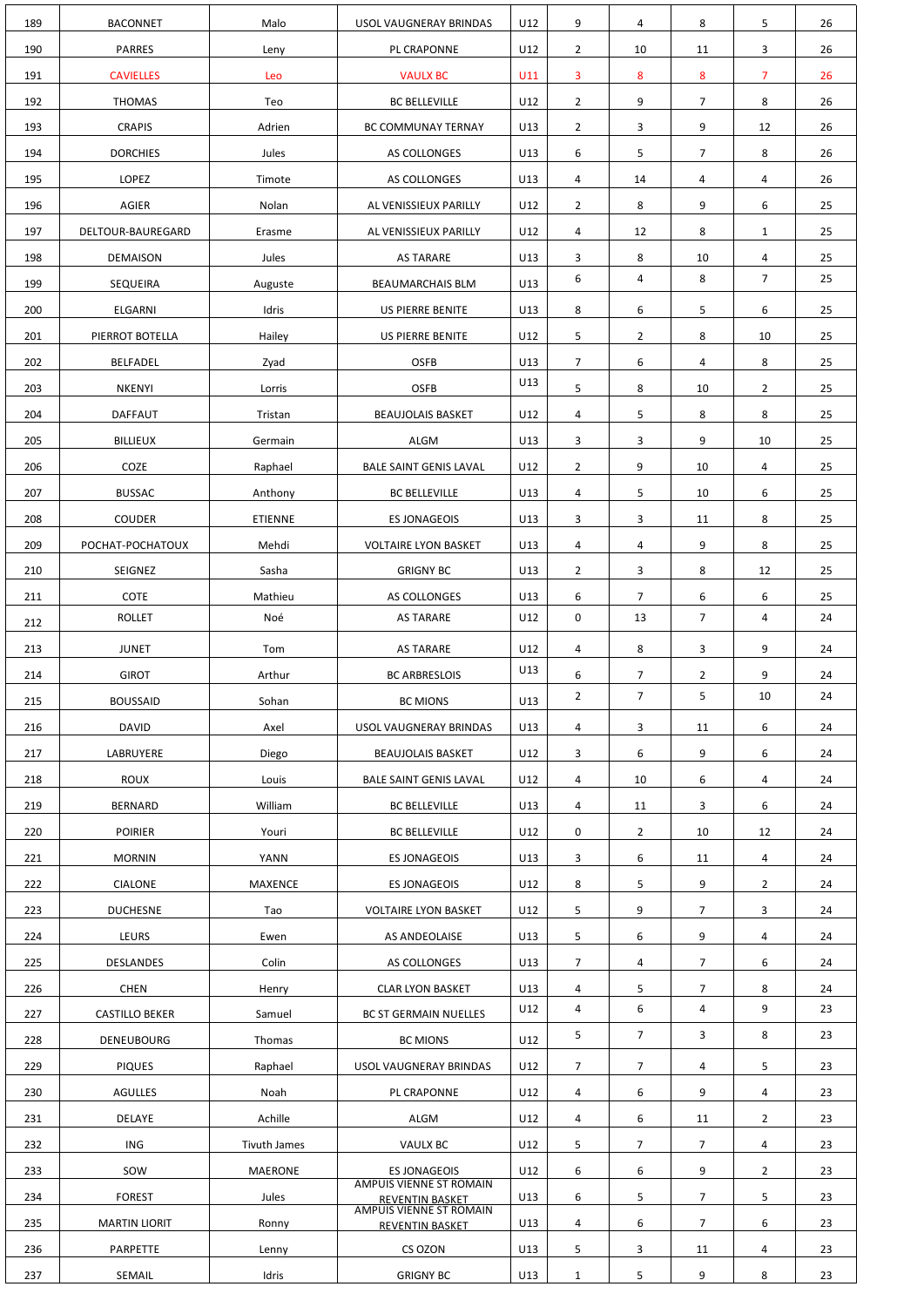| 189        | <b>BACONNET</b>                 | Malo                | USOL VAUGNERAY BRINDAS                                   | U12        | 9                   | 4              | 8                   | 5                   | 26       |
|------------|---------------------------------|---------------------|----------------------------------------------------------|------------|---------------------|----------------|---------------------|---------------------|----------|
| 190        | <b>PARRES</b>                   | Leny                | PL CRAPONNE                                              | U12        | $\overline{2}$      | 10             | 11                  | 3                   | 26       |
| 191        | <b>CAVIELLES</b>                | Leo                 | <b>VAULX BC</b>                                          | U11        | 3                   | 8              | 8                   | $\overline{7}$      | 26       |
| 192        | <b>THOMAS</b>                   | Teo                 | <b>BC BELLEVILLE</b>                                     | U12        | $\overline{2}$      | 9              | $\overline{7}$      | 8                   | 26       |
| 193        | <b>CRAPIS</b>                   | Adrien              | BC COMMUNAY TERNAY                                       | U13        | $\overline{2}$      | 3              | 9                   | 12                  | 26       |
| 194        | <b>DORCHIES</b>                 | Jules               | AS COLLONGES                                             | U13        | 6                   | 5              | $\overline{7}$      | 8                   | 26       |
| 195        | <b>LOPEZ</b>                    | Timote              | AS COLLONGES                                             | U13        | 4                   | 14             | 4                   | 4                   | 26       |
| 196        | <b>AGIER</b>                    | Nolan               | AL VENISSIEUX PARILLY                                    | U12        | $\overline{2}$      | 8              | 9                   | 6                   | 25       |
| 197        | DELTOUR-BAUREGARD               | Erasme              | AL VENISSIEUX PARILLY                                    | U12        | 4                   | 12             | 8                   | $\mathbf{1}$        | 25       |
| 198        | <b>DEMAISON</b>                 | Jules               | <b>AS TARARE</b>                                         | U13        | 3                   | 8              | 10                  | 4                   | 25       |
| 199        | SEQUEIRA                        | Auguste             | <b>BEAUMARCHAIS BLM</b>                                  | U13        | 6                   | 4              | 8                   | $\overline{7}$      | 25       |
| 200        | <b>ELGARNI</b>                  | Idris               | US PIERRE BENITE                                         | U13        | 8                   | 6              | 5                   | 6                   | 25       |
| 201        | PIERROT BOTELLA                 | Hailey              | US PIERRE BENITE                                         | U12        | 5                   | $\overline{2}$ | 8                   | 10                  | 25       |
| 202        | <b>BELFADEL</b>                 | Zyad                | <b>OSFB</b>                                              | U13        | $\overline{7}$      | 6              | 4                   | 8                   | 25       |
| 203        | <b>NKENYI</b>                   | Lorris              | <b>OSFB</b>                                              | U13        | 5                   | 8              | 10                  | $\overline{2}$      | 25       |
| 204        | <b>DAFFAUT</b>                  | Tristan             | <b>BEAUJOLAIS BASKET</b>                                 | U12        | 4                   | 5              | 8                   | 8                   | 25       |
| 205        | <b>BILLIEUX</b>                 | Germain             | ALGM                                                     | U13        | 3                   | 3              | 9                   | 10                  | 25       |
| 206        | COZE                            | Raphael             | <b>BALE SAINT GENIS LAVAL</b>                            | U12        | $\overline{2}$      | 9              | 10                  | 4                   | 25       |
| 207        | <b>BUSSAC</b>                   | Anthony             | <b>BC BELLEVILLE</b>                                     | U13        | 4                   | 5              | 10                  | 6                   | 25       |
| 208        | <b>COUDER</b>                   | <b>ETIENNE</b>      | <b>ES JONAGEOIS</b>                                      | U13        | $\mathbf{3}$        | 3              | 11                  | 8                   | 25       |
| 209        | POCHAT-POCHATOUX                | Mehdi               | <b>VOLTAIRE LYON BASKET</b>                              | U13        | 4                   | 4              | 9                   | 8                   | 25       |
| 210        | SEIGNEZ                         | Sasha               | <b>GRIGNY BC</b>                                         | U13        | $\overline{2}$      | 3              | 8                   | 12                  | 25       |
| 211        | <b>COTE</b>                     | Mathieu             | AS COLLONGES                                             | U13        | 6                   | $\overline{7}$ | 6                   | 6                   | 25       |
| 212        | <b>ROLLET</b>                   | Noé                 | <b>AS TARARE</b>                                         | U12        | $\mathbf 0$         | 13             | 7 <sup>7</sup>      | 4                   | 24       |
| 213        | <b>JUNET</b>                    | Tom                 | <b>AS TARARE</b>                                         | U12        | $\overline{4}$      | 8              | 3                   | 9                   | 24       |
| 214        | <b>GIROT</b>                    | Arthur              | <b>BC ARBRESLOIS</b>                                     | U13        | 6                   | $\overline{7}$ | $\overline{2}$      | 9                   | 24       |
| 215        | <b>BOUSSAID</b>                 | Sohan               | <b>BC MIONS</b>                                          | U13        | $\overline{2}$      | $\overline{7}$ | 5                   | 10                  | 24       |
| 216        | <b>DAVID</b>                    | Axel                | USOL VAUGNERAY BRINDAS                                   | U13        | 4                   | 3              | 11                  | 6                   | 24       |
| 217        | LABRUYERE                       | Diego               | <b>BEAUJOLAIS BASKET</b>                                 | U12        | $\mathbf{3}$        | 6              | 9                   | 6                   | 24       |
| 218        | <b>ROUX</b>                     | Louis               | <b>BALE SAINT GENIS LAVAL</b>                            | U12        | 4                   | 10             | 6                   | 4                   | 24       |
| 219        | <b>BERNARD</b>                  | William             | <b>BC BELLEVILLE</b>                                     | U13        | $\overline{4}$      | 11             | 3                   | 6                   | 24       |
| 220        | <b>POIRIER</b>                  | Youri               | <b>BC BELLEVILLE</b>                                     | U12        | $\mathbf 0$         | $\overline{2}$ | 10                  | 12                  | 24       |
| 221        | <b>MORNIN</b>                   | YANN                | <b>ES JONAGEOIS</b>                                      | U13        | $\mathbf{3}$        | 6              | 11                  | 4                   | 24       |
| 222        | <b>CIALONE</b>                  | <b>MAXENCE</b>      | <b>ES JONAGEOIS</b>                                      | U12        | 8                   | 5              | 9                   | $\overline{2}$      | 24       |
| 223        | <b>DUCHESNE</b>                 | Tao                 | <b>VOLTAIRE LYON BASKET</b>                              | U12        | 5                   | 9              | $\overline{7}$      | 3                   | 24       |
| 224        | LEURS                           | Ewen                | AS ANDEOLAISE                                            | U13        | 5                   | 6              | 9                   | 4                   | 24       |
| 225        | <b>DESLANDES</b>                | Colin               | AS COLLONGES                                             | U13        | 7 <sup>1</sup>      | 4              | $\overline{7}$      | 6                   | 24       |
| 226        | <b>CHEN</b>                     | Henry               | <b>CLAR LYON BASKET</b>                                  | U13<br>U12 | 4<br>4              | 5<br>6         | $\overline{7}$<br>4 | 8<br>9              | 24<br>23 |
| 227        | <b>CASTILLO BEKER</b>           | Samuel              | <b>BC ST GERMAIN NUELLES</b>                             |            | 5                   | $\overline{7}$ | 3                   | 8                   | 23       |
| 228        | <b>DENEUBOURG</b>               | Thomas              | <b>BC MIONS</b>                                          | U12        |                     |                |                     |                     |          |
| 229        | <b>PIQUES</b>                   | Raphael             | USOL VAUGNERAY BRINDAS                                   | U12        | $\overline{7}$      | $\overline{7}$ | 4                   | 5                   | 23       |
| 230<br>231 | <b>AGULLES</b><br><b>DELAYE</b> | Noah<br>Achille     | PL CRAPONNE<br>ALGM                                      | U12<br>U12 | 4<br>$\overline{a}$ | 6<br>6         | 9<br>11             | 4<br>$\overline{2}$ | 23<br>23 |
| 232        | <b>ING</b>                      | <b>Tivuth James</b> | VAULX BC                                                 | U12        | 5                   | $\overline{7}$ | $\overline{7}$      | 4                   | 23       |
| 233        | SOW                             | <b>MAERONE</b>      | <b>ES JONAGEOIS</b>                                      | U12        | 6                   | 6              | 9                   | $\overline{2}$      | 23       |
| 234        | <b>FOREST</b>                   | Jules               | <b>AMPUIS VIENNE ST ROMAIN</b>                           | U13        | 6                   | 5              | $\overline{7}$      | 5                   | 23       |
| 235        | <b>MARTIN LIORIT</b>            | Ronny               | <b>REVENTIN BASKET</b><br><b>AMPUIS VIENNE ST ROMAIN</b> | U13        | 4                   | 6              | $\overline{7}$      | 6                   | 23       |
| 236        | PARPETTE                        | Lenny               | <b>REVENTIN BASKET</b><br>CS OZON                        | U13        | 5                   | 3              | 11                  | 4                   | 23       |
| 237        | SEMAIL                          | Idris               | <b>GRIGNY BC</b>                                         | U13        | $\mathbf{1}$        | 5              | 9                   | 8                   | 23       |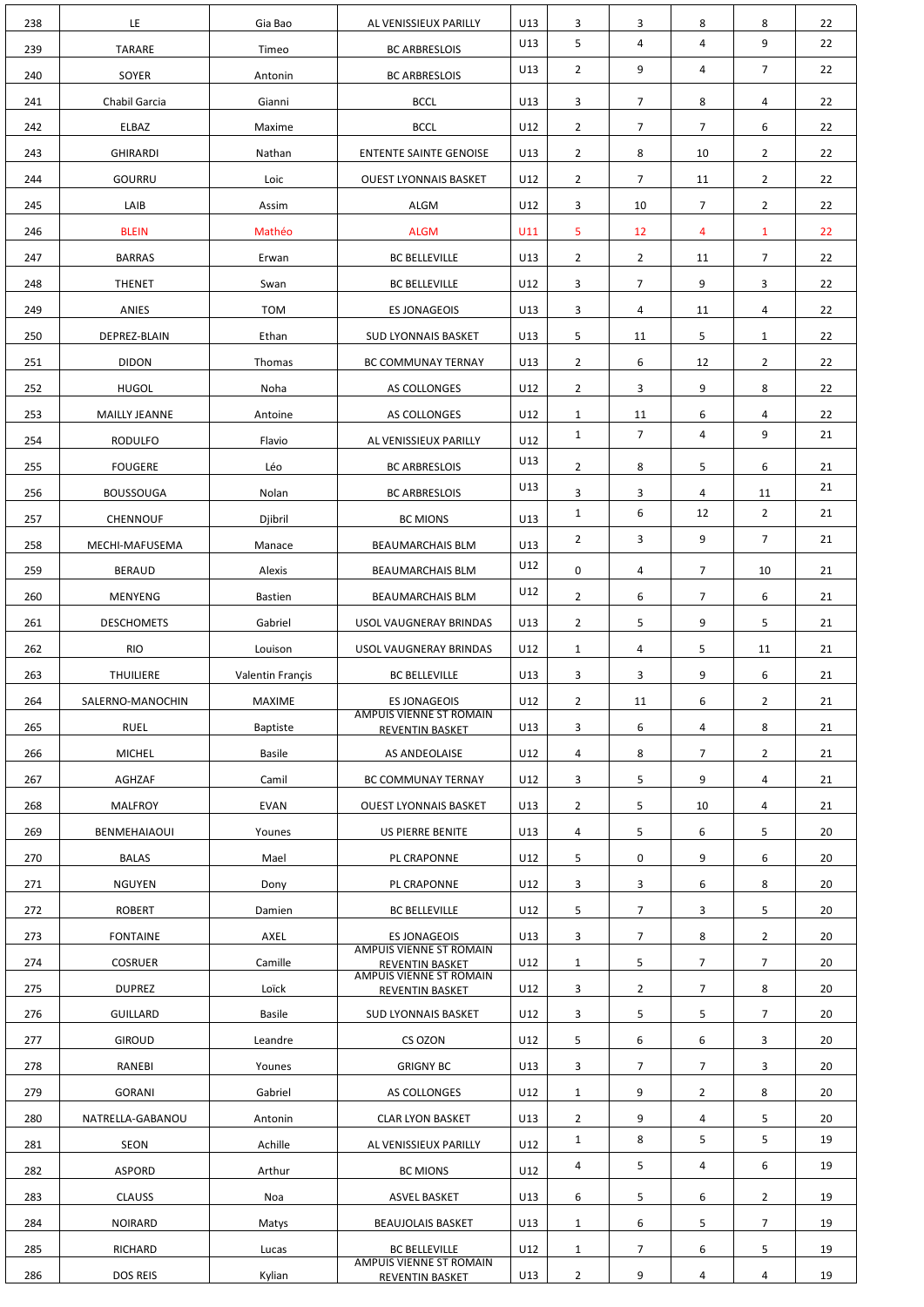| 238 | LE                   | Gia Bao          | AL VENISSIEUX PARILLY                                    | U13 | 3              | 3              | 8              | 8              | 22 |
|-----|----------------------|------------------|----------------------------------------------------------|-----|----------------|----------------|----------------|----------------|----|
| 239 | <b>TARARE</b>        | Timeo            | <b>BC ARBRESLOIS</b>                                     | U13 | 5              | 4              | 4              | 9              | 22 |
| 240 | SOYER                | Antonin          | <b>BC ARBRESLOIS</b>                                     | U13 | $\overline{2}$ | 9              | 4              | $\overline{7}$ | 22 |
| 241 | Chabil Garcia        | Gianni           | <b>BCCL</b>                                              | U13 | 3              | $\overline{7}$ | 8              | 4              | 22 |
| 242 | ELBAZ                | Maxime           | <b>BCCL</b>                                              | U12 | $\overline{2}$ | $\overline{7}$ | $\overline{7}$ | 6              | 22 |
| 243 | <b>GHIRARDI</b>      | Nathan           | <b>ENTENTE SAINTE GENOISE</b>                            | U13 | $\overline{2}$ | 8              | 10             | $\overline{2}$ | 22 |
| 244 | <b>GOURRU</b>        | Loic             | <b>OUEST LYONNAIS BASKET</b>                             | U12 | 2 <sup>1</sup> | $\overline{7}$ | 11             | $\overline{2}$ | 22 |
| 245 | LAIB                 | Assim            | ALGM                                                     | U12 | 3              | 10             | $\overline{7}$ | $\overline{2}$ | 22 |
| 246 | <b>BLEIN</b>         | Mathéo           | <b>ALGM</b>                                              | U11 | 5              | 12             | 4              | $\mathbf{1}$   | 22 |
| 247 | <b>BARRAS</b>        | Erwan            | <b>BC BELLEVILLE</b>                                     | U13 | $2^{\circ}$    | $\overline{2}$ | 11             | $\overline{7}$ | 22 |
| 248 | <b>THENET</b>        | Swan             | <b>BC BELLEVILLE</b>                                     | U12 | 3              | $\overline{7}$ | 9              | 3              | 22 |
| 249 | ANIES                | <b>TOM</b>       | <b>ES JONAGEOIS</b>                                      | U13 | 3              | 4              | 11             | 4              | 22 |
| 250 | DEPREZ-BLAIN         | Ethan            | <b>SUD LYONNAIS BASKET</b>                               | U13 | 5              | 11             | 5              | $\mathbf{1}$   | 22 |
| 251 | <b>DIDON</b>         | Thomas           | BC COMMUNAY TERNAY                                       | U13 | $\overline{2}$ | 6              | 12             | $\overline{2}$ | 22 |
| 252 | <b>HUGOL</b>         | Noha             | AS COLLONGES                                             | U12 | 2 <sup>1</sup> | 3              | 9              | 8              | 22 |
| 253 | <b>MAILLY JEANNE</b> | Antoine          | AS COLLONGES                                             | U12 | $\mathbf{1}$   | 11             | 6              | 4              | 22 |
| 254 | <b>RODULFO</b>       | Flavio           | AL VENISSIEUX PARILLY                                    | U12 | $\mathbf{1}$   | $\overline{7}$ | 4              | 9              | 21 |
| 255 | <b>FOUGERE</b>       | Léo              | <b>BC ARBRESLOIS</b>                                     | U13 | 2 <sup>1</sup> | 8              | 5              | 6              | 21 |
| 256 | <b>BOUSSOUGA</b>     | Nolan            | <b>BC ARBRESLOIS</b>                                     | U13 | 3              | 3              | 4              | 11             | 21 |
| 257 | <b>CHENNOUF</b>      | Djibril          | <b>BC MIONS</b>                                          | U13 | $\mathbf{1}$   | 6              | 12             | $\overline{2}$ | 21 |
| 258 | MECHI-MAFUSEMA       | Manace           | <b>BEAUMARCHAIS BLM</b>                                  | U13 | $\overline{2}$ | 3              | 9              | $\overline{7}$ | 21 |
| 259 | <b>BERAUD</b>        | Alexis           | <b>BEAUMARCHAIS BLM</b>                                  | U12 | 0              | 4              | $7^{\circ}$    | 10             | 21 |
| 260 | <b>MENYENG</b>       | <b>Bastien</b>   | <b>BEAUMARCHAIS BLM</b>                                  | U12 | $2^{\circ}$    | 6              | $\overline{7}$ | 6              | 21 |
| 261 | <b>DESCHOMETS</b>    | Gabriel          | USOL VAUGNERAY BRINDAS                                   | U13 | $2^{\circ}$    | 5              | 9              | 5              | 21 |
| 262 | <b>RIO</b>           | Louison          | USOL VAUGNERAY BRINDAS                                   | U12 | $\mathbf{1}$   | 4              | 5              | 11             | 21 |
| 263 | <b>THUILIERE</b>     | Valentin Françis | <b>BC BELLEVILLE</b>                                     | U13 | 3              | 3              | 9              | 6              | 21 |
| 264 | SALERNO-MANOCHIN     | <b>MAXIME</b>    | <b>ES JONAGEOIS</b>                                      | U12 | $2^{\circ}$    | 11             | 6              | $\overline{2}$ | 21 |
| 265 | <b>RUEL</b>          | <b>Baptiste</b>  | <b>AMPUIS VIENNE ST ROMAIN</b><br><b>REVENTIN BASKET</b> | U13 | $\mathbf{3}$   | 6              | 4              | 8              | 21 |
| 266 | <b>MICHEL</b>        | <b>Basile</b>    | AS ANDEOLAISE                                            | U12 | 4              | 8              | $\overline{7}$ | $\overline{2}$ | 21 |
| 267 | AGHZAF               | Camil            | BC COMMUNAY TERNAY                                       | U12 | 3              | 5              | 9              | 4              | 21 |
| 268 | <b>MALFROY</b>       | <b>EVAN</b>      | <b>OUEST LYONNAIS BASKET</b>                             | U13 | $\overline{2}$ | 5              | 10             | 4              | 21 |
| 269 | BENMEHAIAOUI         | Younes           | US PIERRE BENITE                                         | U13 | 4              | 5              | 6              | 5              | 20 |
| 270 | <b>BALAS</b>         | Mael             | PL CRAPONNE                                              | U12 | 5              | 0              | 9              | 6              | 20 |
| 271 | <b>NGUYEN</b>        | Dony             | PL CRAPONNE                                              | U12 | 3              | 3              | 6              | 8              | 20 |
| 272 | <b>ROBERT</b>        | Damien           | <b>BC BELLEVILLE</b>                                     | U12 | 5              | $\overline{7}$ | 3              | 5              | 20 |
| 273 | <b>FONTAINE</b>      | AXEL             | <b>ES JONAGEOIS</b><br><b>AMPUIS VIENNE ST ROMAIN</b>    | U13 | 3              | $\overline{7}$ | 8              | $\overline{2}$ | 20 |
| 274 | <b>COSRUER</b>       | Camille          | <b>REVENTIN BASKET</b><br><b>AMPUIS VIENNE ST ROMAIN</b> | U12 | $\mathbf{1}$   | 5              | $\overline{7}$ | $\overline{7}$ | 20 |
| 275 | <b>DUPREZ</b>        | Loïck            | REVENTIN BASKET                                          | U12 | 3              | $\overline{2}$ | $\overline{7}$ | 8              | 20 |
| 276 | <b>GUILLARD</b>      | Basile           | <b>SUD LYONNAIS BASKET</b>                               | U12 | $\mathbf{3}$   | 5              | 5              | $\overline{7}$ | 20 |
| 277 | <b>GIROUD</b>        | Leandre          | CS OZON                                                  | U12 | 5              | 6              | 6              | 3              | 20 |
| 278 | RANEBI               | Younes           | <b>GRIGNY BC</b>                                         | U13 | 3              | $\overline{7}$ | $\overline{7}$ | 3              | 20 |
| 279 | <b>GORANI</b>        | Gabriel          | AS COLLONGES                                             | U12 | $\mathbf{1}$   | 9              | $\overline{2}$ | 8              | 20 |
| 280 | NATRELLA-GABANOU     | Antonin          | <b>CLAR LYON BASKET</b>                                  | U13 | $2^{\circ}$    | 9              | 4              | 5              | 20 |
| 281 | SEON                 | Achille          | AL VENISSIEUX PARILLY                                    | U12 | $\mathbf{1}$   | 8              | 5              | 5              | 19 |
| 282 | <b>ASPORD</b>        | Arthur           | <b>BC MIONS</b>                                          | U12 | 4              | 5              | 4              | 6              | 19 |
| 283 | <b>CLAUSS</b>        | Noa              | <b>ASVEL BASKET</b>                                      | U13 | 6              | 5              | 6              | $\overline{2}$ | 19 |
| 284 | <b>NOIRARD</b>       | Matys            | <b>BEAUJOLAIS BASKET</b>                                 | U13 | $\mathbf{1}$   | 6              | 5              | $\overline{7}$ | 19 |
| 285 | RICHARD              | Lucas            | <b>BC BELLEVILLE</b>                                     | U12 | $\mathbf{1}$   | $\overline{7}$ | 6              | 5              | 19 |
|     |                      |                  | <b>AMPUIS VIENNE ST ROMAIN</b>                           |     |                |                |                |                |    |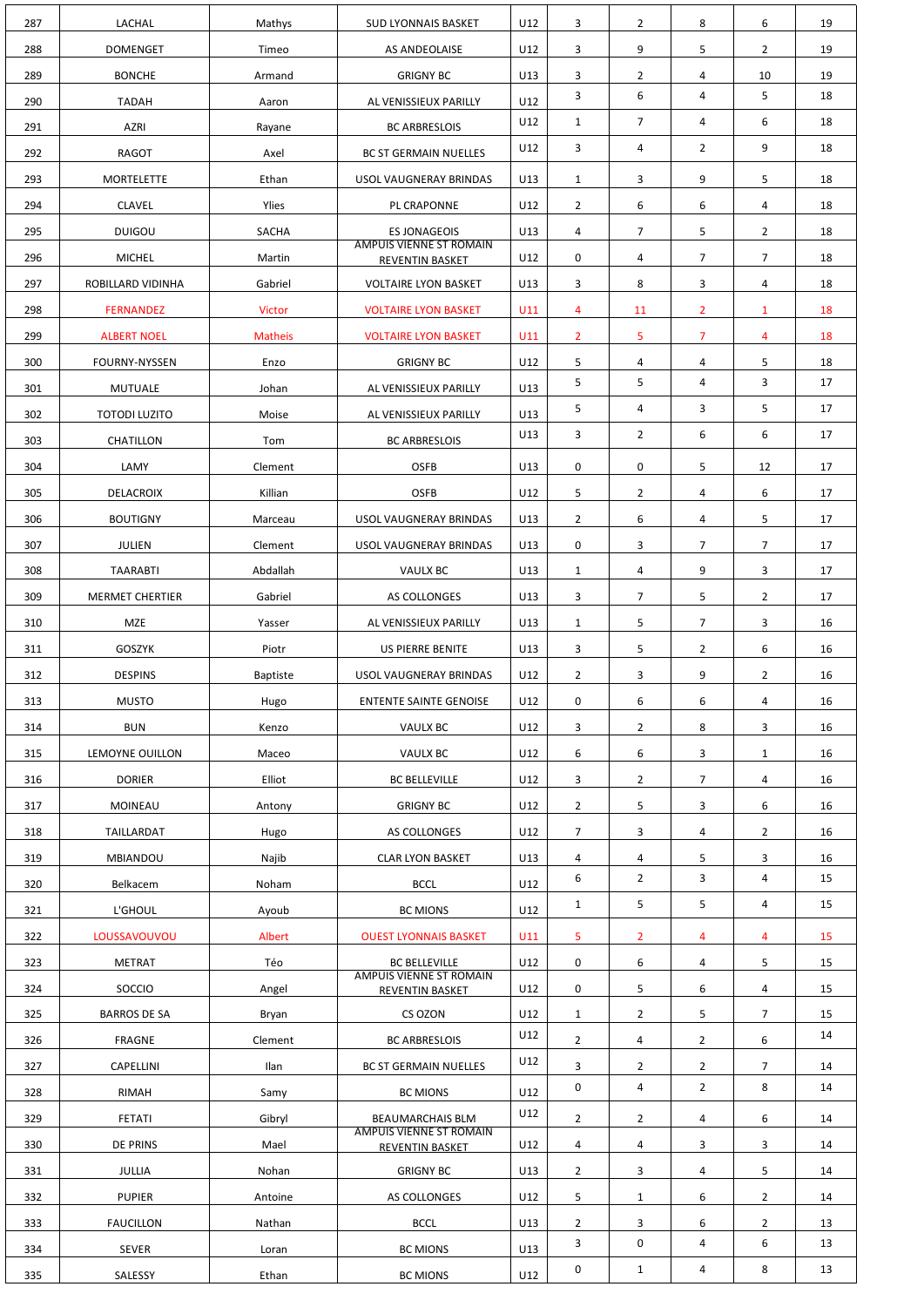| 287 | LACHAL                 | Mathys          | <b>SUD LYONNAIS BASKET</b>                                | U12 | 3              | $\overline{2}$    | 8              | 6              | 19       |
|-----|------------------------|-----------------|-----------------------------------------------------------|-----|----------------|-------------------|----------------|----------------|----------|
| 288 | <b>DOMENGET</b>        | Timeo           | AS ANDEOLAISE                                             | U12 | 3              | 9                 | 5              | $\overline{2}$ | 19       |
| 289 | <b>BONCHE</b>          | Armand          | <b>GRIGNY BC</b>                                          | U13 | 3              | $\overline{2}$    | 4              | 10             | 19       |
| 290 | <b>TADAH</b>           | Aaron           | AL VENISSIEUX PARILLY                                     | U12 | 3              | 6                 | 4              | 5              | 18       |
| 291 | <b>AZRI</b>            | Rayane          | <b>BC ARBRESLOIS</b>                                      | U12 | 1              | $\overline{7}$    | 4              | 6              | 18       |
| 292 | <b>RAGOT</b>           | Axel            | <b>BC ST GERMAIN NUELLES</b>                              | U12 | 3              | 4                 | $\overline{2}$ | 9              | 18       |
| 293 | <b>MORTELETTE</b>      | Ethan           | USOL VAUGNERAY BRINDAS                                    | U13 | $\mathbf{1}$   | 3                 | 9              | 5              | 18       |
| 294 | <b>CLAVEL</b>          | Ylies           | PL CRAPONNE                                               | U12 | 2 <sup>1</sup> | 6                 | 6              | 4              | 18       |
| 295 | <b>DUIGOU</b>          | SACHA           | <b>ES JONAGEOIS</b>                                       | U13 | 4              | $\overline{7}$    | 5              | $\overline{2}$ | 18       |
| 296 | <b>MICHEL</b>          | Martin          | <b>AMPUIS VIENNE ST ROMAIN</b><br><b>REVENTIN BASKET</b>  | U12 | 0              | 4                 | $\overline{7}$ | $\overline{7}$ | 18       |
| 297 | ROBILLARD VIDINHA      | Gabriel         | <b>VOLTAIRE LYON BASKET</b>                               | U13 | 3              | 8                 | 3              | 4              | 18       |
| 298 | <b>FERNANDEZ</b>       | Victor          | <b>VOLTAIRE LYON BASKET</b>                               | U11 | 4              | 11                | $\overline{2}$ | $\mathbf{1}$   | 18       |
| 299 | <b>ALBERT NOEL</b>     | <b>Matheis</b>  | <b>VOLTAIRE LYON BASKET</b>                               | U11 | $\overline{2}$ | 5                 | $\overline{7}$ | 4              | 18       |
| 300 | <b>FOURNY-NYSSEN</b>   | Enzo            | <b>GRIGNY BC</b>                                          | U12 | 5              | 4                 | 4              | 5              | 18       |
| 301 | <b>MUTUALE</b>         | Johan           | AL VENISSIEUX PARILLY                                     | U13 | 5              | 5                 | 4              | 3              | 17       |
| 302 | <b>TOTODI LUZITO</b>   | Moise           | AL VENISSIEUX PARILLY                                     | U13 | 5              | 4                 | 3              | 5              | 17       |
| 303 | CHATILLON              | Tom             | <b>BC ARBRESLOIS</b>                                      | U13 | 3              | $\overline{2}$    | 6              | 6              | 17       |
| 304 | LAMY                   | Clement         | <b>OSFB</b>                                               | U13 | 0              | 0                 | 5              | 12             | 17       |
| 305 | DELACROIX              | Killian         | <b>OSFB</b>                                               | U12 | 5              | 2                 | 4              | 6              | 17       |
| 306 | <b>BOUTIGNY</b>        | Marceau         | USOL VAUGNERAY BRINDAS                                    | U13 | $\overline{2}$ | 6                 | 4              | 5              | 17       |
| 307 | <b>JULIEN</b>          | Clement         | USOL VAUGNERAY BRINDAS                                    | U13 | 0              | 3                 | $\overline{7}$ | 7              | 17       |
| 308 | <b>TAARABTI</b>        | Abdallah        | <b>VAULX BC</b>                                           | U13 | $\mathbf{1}$   | 4                 | 9              | 3              | 17       |
| 309 | <b>MERMET CHERTIER</b> | Gabriel         | AS COLLONGES                                              | U13 | 3              | $\overline{7}$    | 5              | $\overline{2}$ | 17       |
| 310 | <b>MZE</b>             | Yasser          | AL VENISSIEUX PARILLY                                     | U13 | $\mathbf{1}$   | 5                 | 7 <sup>1</sup> | 3              | 16       |
| 311 | <b>GOSZYK</b>          | Piotr           | US PIERRE BENITE                                          | U13 | 3              | 5                 | $\overline{2}$ | 6              | 16       |
| 312 | <b>DESPINS</b>         | <b>Baptiste</b> | USOL VAUGNERAY BRINDAS                                    | U12 | $\overline{2}$ | 3                 | 9              | $\overline{2}$ | 16       |
| 313 | <b>MUSTO</b>           | Hugo            | <b>ENTENTE SAINTE GENOISE</b>                             | U12 | 0              | 6                 | 6              | 4              | 16       |
| 314 | <b>BUN</b>             | Kenzo           | VAULX BC                                                  | U12 | 3              | $\overline{2}$    | 8              | 3              | 16       |
| 315 | LEMOYNE OUILLON        | Maceo           | VAULX BC                                                  | U12 | 6              | 6                 | 3              | $\mathbf{1}$   | 16       |
| 316 | <b>DORIER</b>          | Elliot          | <b>BC BELLEVILLE</b>                                      | U12 | 3              | $\overline{2}$    | 7 <sup>1</sup> | 4              | 16       |
| 317 | <b>MOINEAU</b>         | Antony          | <b>GRIGNY BC</b>                                          | U12 | $\overline{2}$ | 5                 | 3              | 6              | 16       |
| 318 | TAILLARDAT             | Hugo            | AS COLLONGES                                              | U12 | 7 <sup>7</sup> | 3                 | 4              | $\overline{2}$ | 16       |
| 319 | MBIANDOU               | Najib           | <b>CLAR LYON BASKET</b>                                   | U13 | 4              | 4                 | 5              | 3              | 16       |
| 320 | Belkacem               | Noham           | <b>BCCL</b>                                               | U12 | 6              | $\overline{2}$    | $\mathbf{3}$   | 4              | 15       |
| 321 | L'GHOUL                | Ayoub           | <b>BC MIONS</b>                                           | U12 | 1              | 5                 | 5              | 4              | 15       |
| 322 | LOUSSAVOUVOU           | Albert          | <b>OUEST LYONNAIS BASKET</b>                              | U11 | 5              | $\overline{2}$    | $\overline{4}$ | 4              | 15       |
| 323 | <b>METRAT</b>          | Téo             | <b>BC BELLEVILLE</b><br><b>AMPUIS VIENNE ST ROMAIN</b>    | U12 | 0              | 6                 | 4              | 5              | 15       |
| 324 | SOCCIO                 | Angel           | REVENTIN BASKET                                           | U12 | 0              | 5                 | 6              | 4              | 15       |
| 325 | <b>BARROS DE SA</b>    | Bryan           | CS OZON                                                   | U12 | $\mathbf{1}$   | $\overline{2}$    | 5              | $\overline{7}$ | 15       |
| 326 |                        |                 |                                                           |     |                |                   |                |                | 14       |
|     | <b>FRAGNE</b>          | Clement         | <b>BC ARBRESLOIS</b>                                      | U12 | $2^{\circ}$    | $\overline{a}$    | $\overline{2}$ | 6              |          |
| 327 | CAPELLINI              | Ilan            | <b>BC ST GERMAIN NUELLES</b>                              | U12 | 3              | $\overline{2}$    | $\overline{2}$ | $\overline{7}$ | 14       |
| 328 | RIMAH                  | Samy            | <b>BC MIONS</b>                                           | U12 | 0              | 4                 | $\overline{2}$ | 8              | 14       |
| 329 | <b>FETATI</b>          | Gibryl          | <b>BEAUMARCHAIS BLM</b><br><b>AMPUIS VIENNE ST ROMAIN</b> | U12 | $\overline{2}$ | $\overline{2}$    | 4              | 6              | 14       |
| 330 | <b>DE PRINS</b>        | Mael            | REVENTIN BASKET                                           | U12 | $\overline{4}$ | 4                 | 3              | 3              | 14       |
| 331 | JULLIA                 | Nohan           | <b>GRIGNY BC</b>                                          | U13 | $\overline{2}$ | 3                 | 4              | 5              | 14       |
| 332 | <b>PUPIER</b>          | Antoine         | AS COLLONGES                                              | U12 | 5              | $\mathbf{1}$      | 6              | $\overline{2}$ | 14       |
| 333 | <b>FAUCILLON</b>       | Nathan          | <b>BCCL</b>                                               | U13 | $\overline{2}$ | 3                 | 6              | $\overline{2}$ | 13       |
| 334 | <b>SEVER</b>           | Loran           | <b>BC MIONS</b>                                           | U13 | 3<br>0         | 0<br>$\mathbf{1}$ | 4<br>4         | 6<br>8         | 13<br>13 |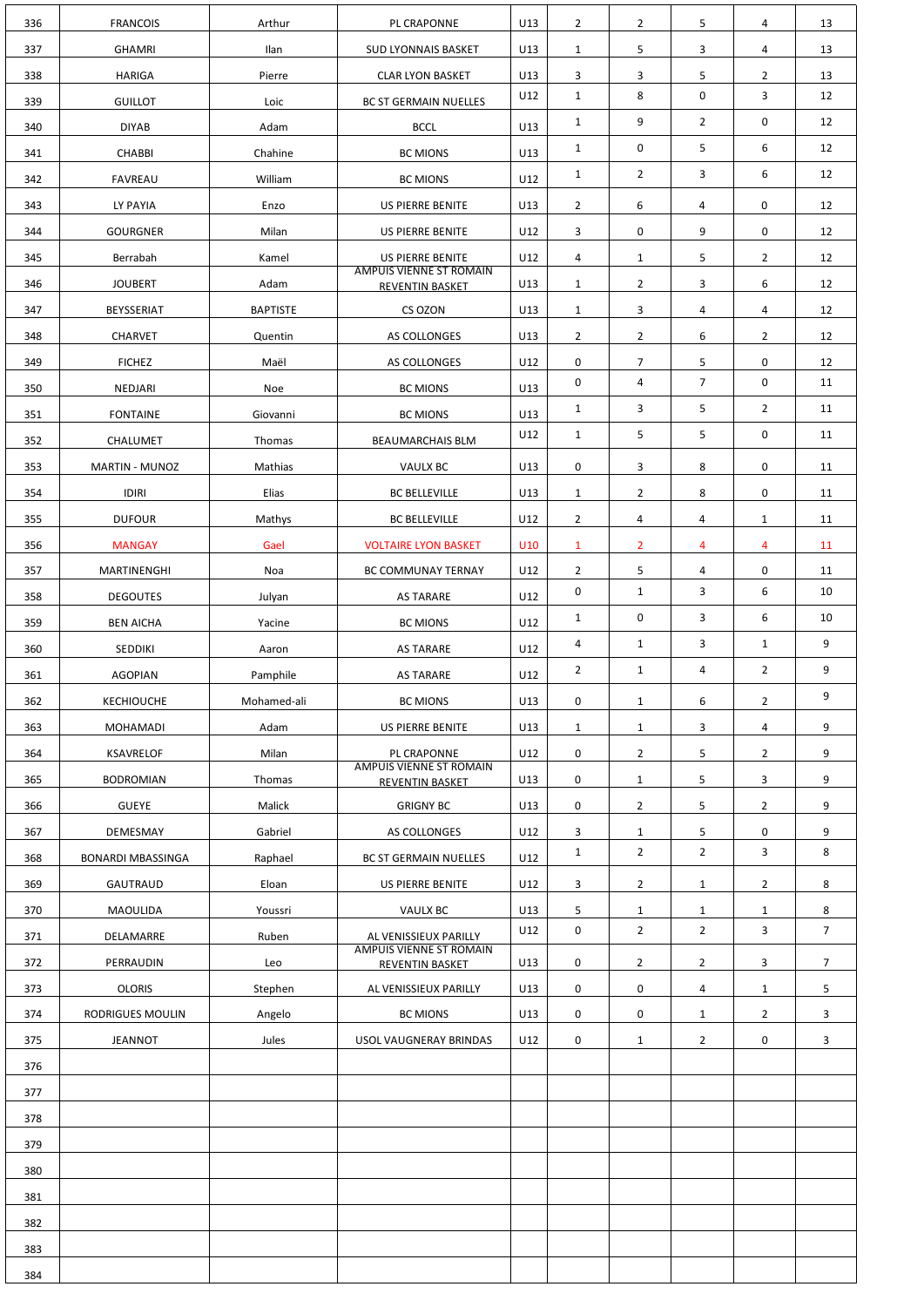| 336 | <b>FRANCOIS</b>          | Arthur          | PL CRAPONNE                                              | U13 | $\overline{2}$ | $\overline{2}$ | 5                       | 4              | 13             |
|-----|--------------------------|-----------------|----------------------------------------------------------|-----|----------------|----------------|-------------------------|----------------|----------------|
| 337 | <b>GHAMRI</b>            | Ilan            | <b>SUD LYONNAIS BASKET</b>                               | U13 | $\mathbf{1}$   | 5              | 3                       | 4              | 13             |
| 338 | <b>HARIGA</b>            | Pierre          | <b>CLAR LYON BASKET</b>                                  | U13 | 3              | 3              | 5                       | $\overline{2}$ | 13             |
| 339 | <b>GUILLOT</b>           | Loic            | <b>BC ST GERMAIN NUELLES</b>                             | U12 | $\mathbf{1}$   | 8              | $\mathbf 0$             | 3              | 12             |
| 340 | <b>DIYAB</b>             | Adam            | <b>BCCL</b>                                              | U13 | $\mathbf{1}$   | 9              | $2^{\circ}$             | 0              | 12             |
| 341 | <b>CHABBI</b>            | Chahine         | <b>BC MIONS</b>                                          | U13 | $\mathbf{1}$   | 0              | 5                       | 6              | 12             |
| 342 | <b>FAVREAU</b>           | William         | <b>BC MIONS</b>                                          | U12 | $\mathbf{1}$   | $\overline{2}$ | 3                       | 6              | 12             |
| 343 | LY PAYIA                 | Enzo            | US PIERRE BENITE                                         | U13 | $\overline{2}$ | 6              | 4                       | 0              | 12             |
| 344 | <b>GOURGNER</b>          | Milan           | US PIERRE BENITE                                         | U12 | 3              | $\pmb{0}$      | 9                       | $\mathbf 0$    | 12             |
| 345 | Berrabah                 | Kamel           | US PIERRE BENITE                                         | U12 | 4              | $\mathbf{1}$   | 5                       | $\overline{2}$ | 12             |
| 346 | <b>JOUBERT</b>           | Adam            | <b>AMPUIS VIENNE ST ROMAIN</b><br><b>REVENTIN BASKET</b> | U13 | $\mathbf{1}$   | $\overline{2}$ | 3                       | 6              | 12             |
| 347 | <b>BEYSSERIAT</b>        | <b>BAPTISTE</b> | CS OZON                                                  | U13 | $\mathbf{1}$   | 3              | 4                       | 4              | 12             |
| 348 | <b>CHARVET</b>           | Quentin         | AS COLLONGES                                             | U13 | $\overline{2}$ | $\overline{2}$ | 6                       | $\overline{2}$ | 12             |
| 349 | <b>FICHEZ</b>            | Maël            | AS COLLONGES                                             | U12 | 0              | 7              | 5                       | $\mathbf 0$    | 12             |
| 350 | <b>NEDJARI</b>           | Noe             | <b>BC MIONS</b>                                          | U13 | 0              | 4              | $\overline{7}$          | $\mathbf 0$    | 11             |
| 351 | <b>FONTAINE</b>          | Giovanni        | <b>BC MIONS</b>                                          | U13 | $\mathbf{1}$   | 3              | 5                       | $\overline{2}$ | 11             |
| 352 | CHALUMET                 | Thomas          | <b>BEAUMARCHAIS BLM</b>                                  | U12 | $\mathbf{1}$   | 5              | 5                       | $\mathbf 0$    | 11             |
| 353 | <b>MARTIN - MUNOZ</b>    | Mathias         | <b>VAULX BC</b>                                          | U13 | 0              | 3              | 8                       | 0              | 11             |
| 354 | IDIRI                    | Elias           | <b>BC BELLEVILLE</b>                                     | U13 | $\mathbf{1}$   | $\overline{2}$ | 8                       | $\mathbf 0$    | 11             |
| 355 | <b>DUFOUR</b>            | Mathys          | <b>BC BELLEVILLE</b>                                     | U12 | $2^{\circ}$    | 4              | 4                       | $\mathbf{1}$   | 11             |
| 356 | <b>MANGAY</b>            | Gael            | <b>VOLTAIRE LYON BASKET</b>                              | U10 | $\mathbf{1}$   | $\overline{2}$ | 4                       | 4              | 11             |
| 357 | MARTINENGHI              | Noa             | BC COMMUNAY TERNAY                                       | U12 | $\overline{2}$ | 5              | $\overline{4}$          | 0              | 11             |
| 358 | <b>DEGOUTES</b>          | Julyan          | <b>AS TARARE</b>                                         | U12 | 0              | $\mathbf{1}$   | $\mathbf{3}$            | 6              | 10             |
| 359 | <b>BEN AICHA</b>         | Yacine          | <b>BC MIONS</b>                                          | U12 | $\mathbf{1}$   | $\mathbf 0$    | $\mathbf{3}$            | 6              | 10             |
| 360 | SEDDIKI                  | Aaron           | <b>AS TARARE</b>                                         | U12 | 4              | $\mathbf{1}$   | $\mathbf{3}$            | $\mathbf{1}$   | 9              |
| 361 | <b>AGOPIAN</b>           | Pamphile        | <b>AS TARARE</b>                                         | U12 | $\overline{2}$ | $\mathbf{1}$   | $\overline{\mathbf{4}}$ | $\overline{2}$ | 9              |
| 362 | <b>KECHIOUCHE</b>        | Mohamed-ali     | <b>BC MIONS</b>                                          | U13 | $\mathbf 0$    | $\mathbf{1}$   | 6                       | $\overline{2}$ | 9              |
| 363 | <b>MOHAMADI</b>          | Adam            | US PIERRE BENITE                                         | U13 | $\mathbf{1}$   | $\mathbf{1}$   | 3                       | 4              | 9              |
| 364 | <b>KSAVRELOF</b>         | Milan           | PL CRAPONNE                                              | U12 | 0              | $\overline{2}$ | 5                       | $\overline{2}$ | 9              |
| 365 | <b>BODROMIAN</b>         | Thomas          | <b>AMPUIS VIENNE ST ROMAIN</b><br>REVENTIN BASKET        | U13 | 0              | $\mathbf{1}$   | 5                       | $\mathbf{3}$   | 9              |
| 366 | <b>GUEYE</b>             | Malick          | <b>GRIGNY BC</b>                                         | U13 | $\mathbf 0$    | $\overline{2}$ | 5                       | $\overline{2}$ | 9              |
| 367 | DEMESMAY                 | Gabriel         | AS COLLONGES                                             | U12 | 3              | $\mathbf{1}$   | 5                       | 0              | 9              |
| 368 | <b>BONARDI MBASSINGA</b> | Raphael         | <b>BC ST GERMAIN NUELLES</b>                             | U12 | $\mathbf{1}$   | $\overline{2}$ | $\overline{2}$          | 3              | 8              |
| 369 | GAUTRAUD                 | Eloan           | US PIERRE BENITE                                         | U12 | 3              | $\overline{2}$ | $\mathbf{1}$            | $\overline{2}$ | 8              |
| 370 | MAOULIDA                 | Youssri         | <b>VAULX BC</b>                                          | U13 | 5              | $\mathbf{1}$   | $\mathbf{1}$            | $\mathbf{1}$   | 8              |
| 371 | DELAMARRE                | Ruben           | AL VENISSIEUX PARILLY                                    | U12 | $\mathbf 0$    | $\overline{2}$ | $\overline{2}$          | 3              | 7 <sup>1</sup> |
| 372 | PERRAUDIN                | Leo             | <b>AMPUIS VIENNE ST ROMAIN</b><br>REVENTIN BASKET        | U13 | 0              | $\overline{2}$ | $\overline{2}$          | 3              | $\overline{7}$ |
| 373 | <b>OLORIS</b>            | Stephen         | AL VENISSIEUX PARILLY                                    | U13 | 0              | $\pmb{0}$      | 4                       | $\mathbf{1}$   | 5              |
| 374 | RODRIGUES MOULIN         | Angelo          | <b>BC MIONS</b>                                          | U13 | 0              | $\pmb{0}$      | $\mathbf{1}$            | $\overline{2}$ | 3              |
| 375 | <b>JEANNOT</b>           | Jules           | USOL VAUGNERAY BRINDAS                                   | U12 | 0              | $\mathbf{1}$   | $\overline{2}$          | $\mathbf 0$    | 3              |
| 376 |                          |                 |                                                          |     |                |                |                         |                |                |
| 377 |                          |                 |                                                          |     |                |                |                         |                |                |
| 378 |                          |                 |                                                          |     |                |                |                         |                |                |
| 379 |                          |                 |                                                          |     |                |                |                         |                |                |
| 380 |                          |                 |                                                          |     |                |                |                         |                |                |
| 381 |                          |                 |                                                          |     |                |                |                         |                |                |
| 382 |                          |                 |                                                          |     |                |                |                         |                |                |
| 383 |                          |                 |                                                          |     |                |                |                         |                |                |
| 384 |                          |                 |                                                          |     |                |                |                         |                |                |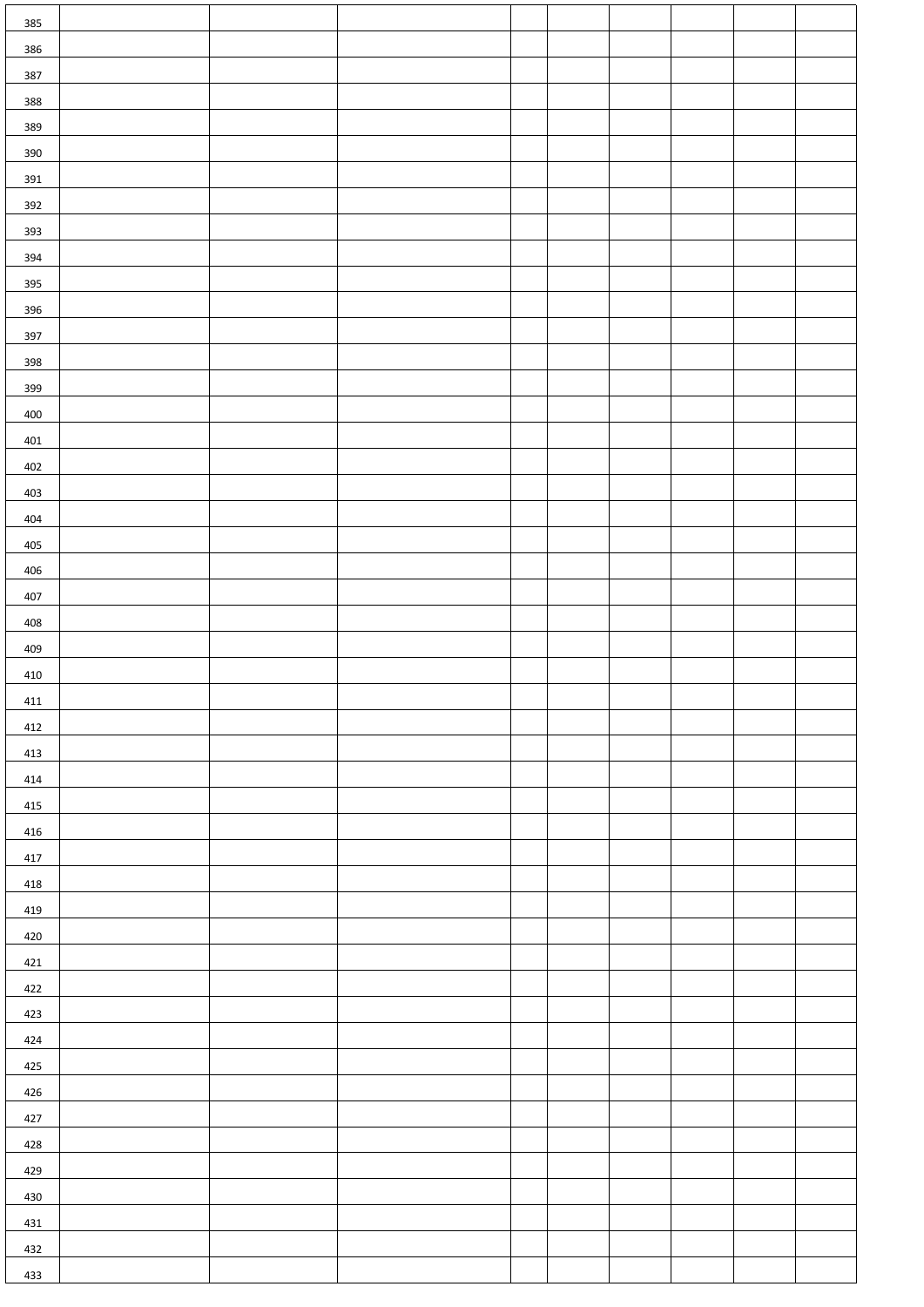| 385 |  |  |  |  |  |
|-----|--|--|--|--|--|
| 386 |  |  |  |  |  |
| 387 |  |  |  |  |  |
| 388 |  |  |  |  |  |
| 389 |  |  |  |  |  |
| 390 |  |  |  |  |  |
| 391 |  |  |  |  |  |
| 392 |  |  |  |  |  |
| 393 |  |  |  |  |  |
| 394 |  |  |  |  |  |
| 395 |  |  |  |  |  |
| 396 |  |  |  |  |  |
| 397 |  |  |  |  |  |
| 398 |  |  |  |  |  |
| 399 |  |  |  |  |  |
| 400 |  |  |  |  |  |
| 401 |  |  |  |  |  |
| 402 |  |  |  |  |  |
| 403 |  |  |  |  |  |
| 404 |  |  |  |  |  |
| 405 |  |  |  |  |  |
| 406 |  |  |  |  |  |
| 407 |  |  |  |  |  |
| 408 |  |  |  |  |  |
| 409 |  |  |  |  |  |
| 410 |  |  |  |  |  |
| 411 |  |  |  |  |  |
| 412 |  |  |  |  |  |
| 413 |  |  |  |  |  |
| 414 |  |  |  |  |  |
| 415 |  |  |  |  |  |
| 416 |  |  |  |  |  |
| 417 |  |  |  |  |  |
| 418 |  |  |  |  |  |
| 419 |  |  |  |  |  |
| 420 |  |  |  |  |  |
| 421 |  |  |  |  |  |
| 422 |  |  |  |  |  |
| 423 |  |  |  |  |  |
| 424 |  |  |  |  |  |
| 425 |  |  |  |  |  |
| 426 |  |  |  |  |  |
| 427 |  |  |  |  |  |
| 428 |  |  |  |  |  |
| 429 |  |  |  |  |  |
| 430 |  |  |  |  |  |
| 431 |  |  |  |  |  |
| 432 |  |  |  |  |  |
| 433 |  |  |  |  |  |
|     |  |  |  |  |  |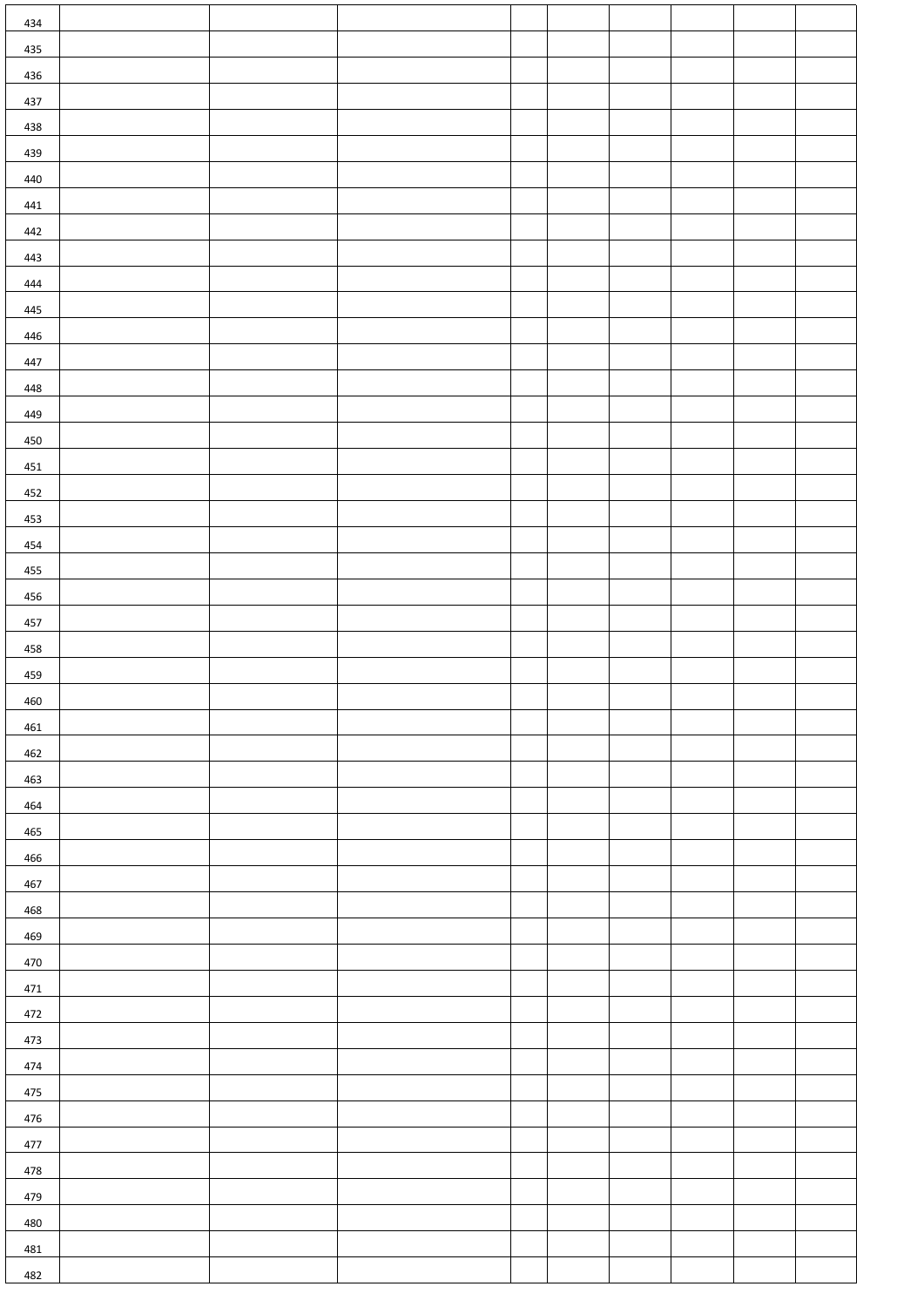| 434 |  |  |  |  |  |
|-----|--|--|--|--|--|
| 435 |  |  |  |  |  |
| 436 |  |  |  |  |  |
| 437 |  |  |  |  |  |
| 438 |  |  |  |  |  |
| 439 |  |  |  |  |  |
| 440 |  |  |  |  |  |
| 441 |  |  |  |  |  |
| 442 |  |  |  |  |  |
| 443 |  |  |  |  |  |
| 444 |  |  |  |  |  |
| 445 |  |  |  |  |  |
| 446 |  |  |  |  |  |
| 447 |  |  |  |  |  |
| 448 |  |  |  |  |  |
| 449 |  |  |  |  |  |
| 450 |  |  |  |  |  |
| 451 |  |  |  |  |  |
| 452 |  |  |  |  |  |
| 453 |  |  |  |  |  |
| 454 |  |  |  |  |  |
| 455 |  |  |  |  |  |
| 456 |  |  |  |  |  |
| 457 |  |  |  |  |  |
| 458 |  |  |  |  |  |
| 459 |  |  |  |  |  |
| 460 |  |  |  |  |  |
| 461 |  |  |  |  |  |
| 462 |  |  |  |  |  |
| 463 |  |  |  |  |  |
| 464 |  |  |  |  |  |
| 465 |  |  |  |  |  |
| 466 |  |  |  |  |  |
| 467 |  |  |  |  |  |
| 468 |  |  |  |  |  |
| 469 |  |  |  |  |  |
| 470 |  |  |  |  |  |
| 471 |  |  |  |  |  |
| 472 |  |  |  |  |  |
| 473 |  |  |  |  |  |
| 474 |  |  |  |  |  |
| 475 |  |  |  |  |  |
| 476 |  |  |  |  |  |
| 477 |  |  |  |  |  |
| 478 |  |  |  |  |  |
| 479 |  |  |  |  |  |
| 480 |  |  |  |  |  |
| 481 |  |  |  |  |  |
| 482 |  |  |  |  |  |
|     |  |  |  |  |  |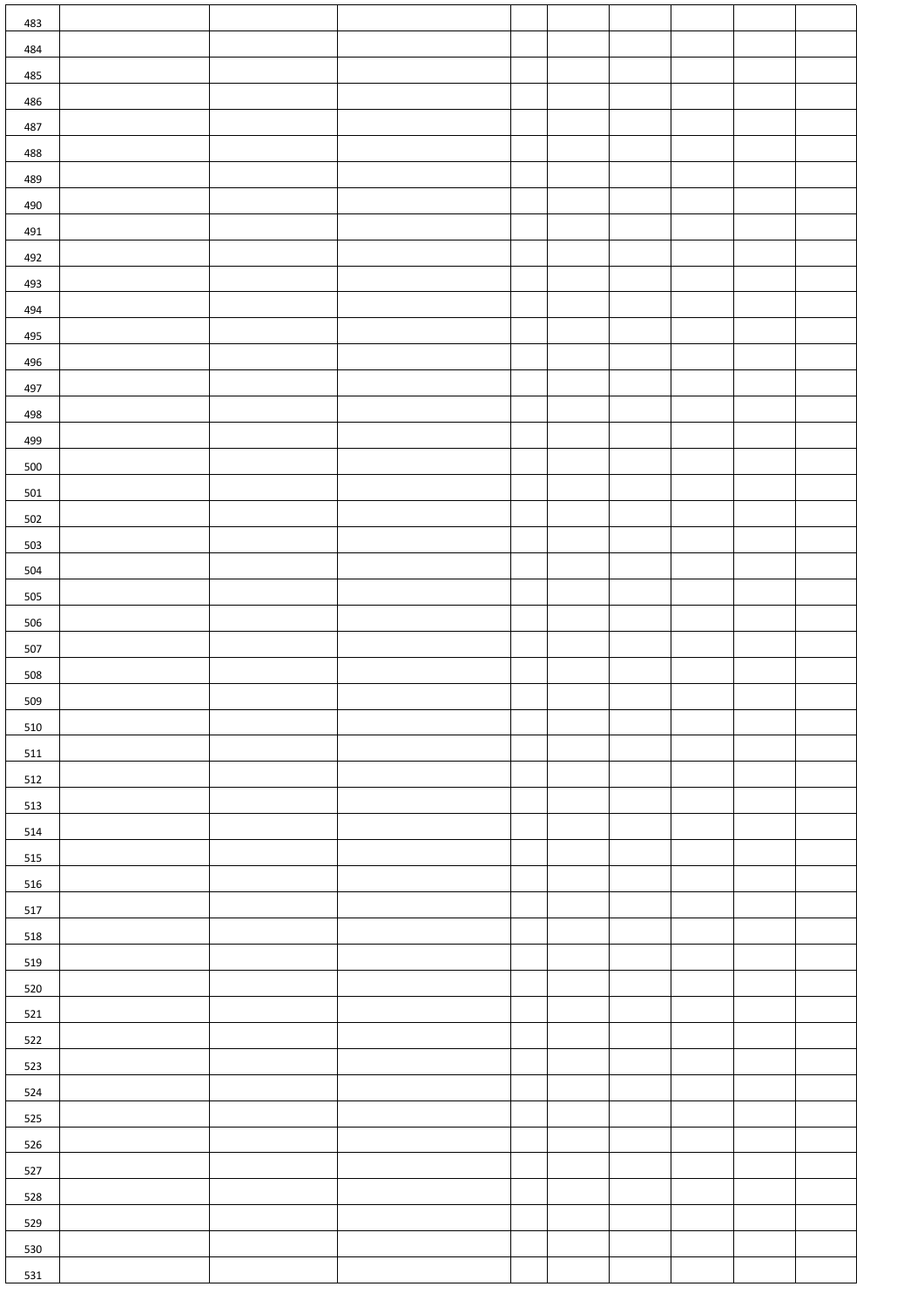| 483        |  |  |  |  |  |
|------------|--|--|--|--|--|
| 484        |  |  |  |  |  |
| 485        |  |  |  |  |  |
| 486        |  |  |  |  |  |
| 487        |  |  |  |  |  |
| 488        |  |  |  |  |  |
| 489        |  |  |  |  |  |
| 490        |  |  |  |  |  |
| 491<br>492 |  |  |  |  |  |
| 493        |  |  |  |  |  |
| 494        |  |  |  |  |  |
| 495        |  |  |  |  |  |
| 496        |  |  |  |  |  |
| 497        |  |  |  |  |  |
| 498        |  |  |  |  |  |
| 499        |  |  |  |  |  |
| 500        |  |  |  |  |  |
| 501        |  |  |  |  |  |
| 502        |  |  |  |  |  |
| 503        |  |  |  |  |  |
| 504        |  |  |  |  |  |
| 505        |  |  |  |  |  |
| 506        |  |  |  |  |  |
| 507<br>508 |  |  |  |  |  |
| 509        |  |  |  |  |  |
| 510        |  |  |  |  |  |
| 511        |  |  |  |  |  |
| 512        |  |  |  |  |  |
| 513        |  |  |  |  |  |
| 514        |  |  |  |  |  |
| 515        |  |  |  |  |  |
| 516        |  |  |  |  |  |
| 517        |  |  |  |  |  |
| 518        |  |  |  |  |  |
| 519        |  |  |  |  |  |
| 520        |  |  |  |  |  |
| 521        |  |  |  |  |  |
| 522<br>523 |  |  |  |  |  |
| 524        |  |  |  |  |  |
| 525        |  |  |  |  |  |
| 526        |  |  |  |  |  |
| 527        |  |  |  |  |  |
| 528        |  |  |  |  |  |
| 529        |  |  |  |  |  |
| 530        |  |  |  |  |  |
| 531        |  |  |  |  |  |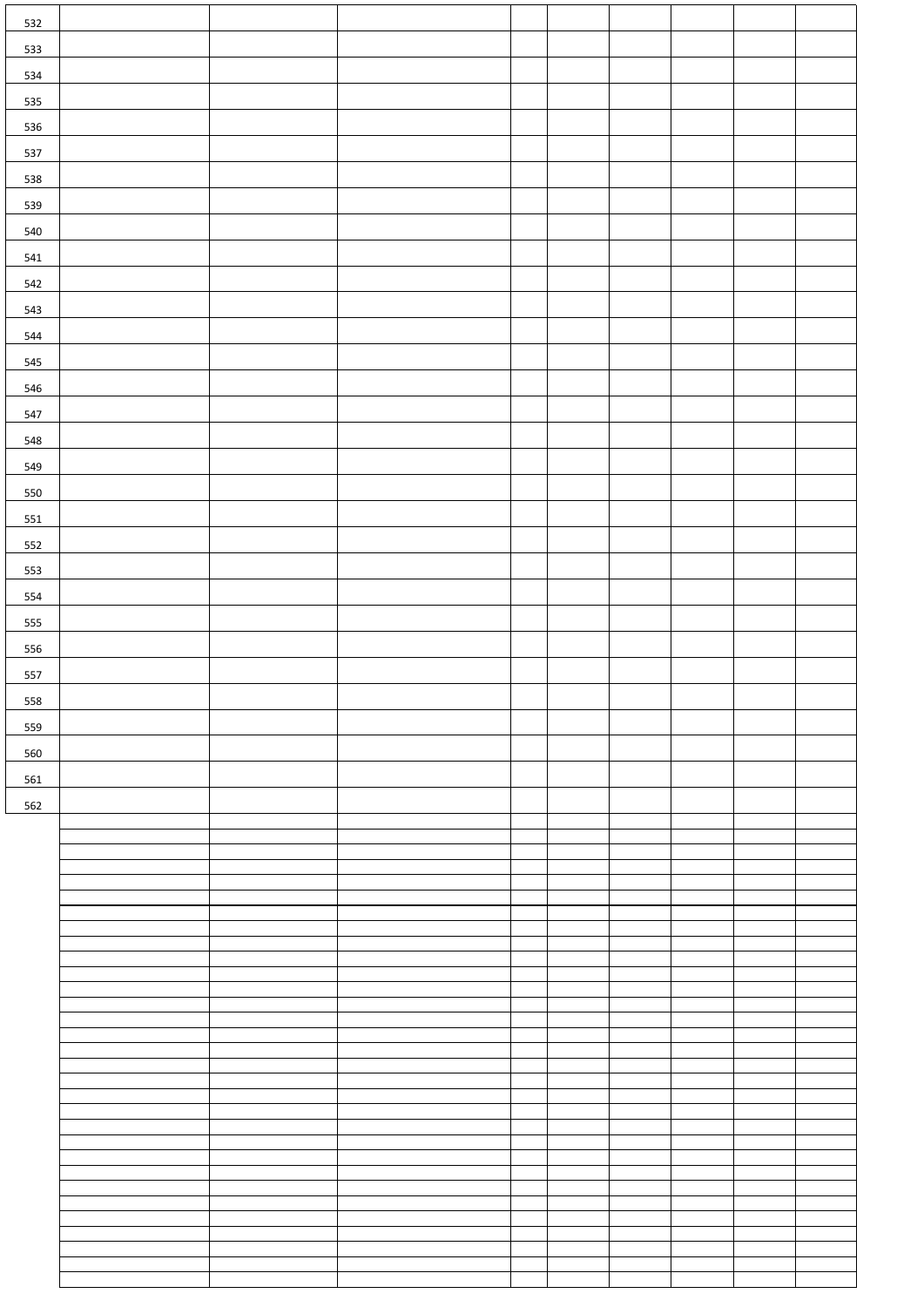| 532 |  |  |  |  |  |
|-----|--|--|--|--|--|
|     |  |  |  |  |  |
| 533 |  |  |  |  |  |
| 534 |  |  |  |  |  |
| 535 |  |  |  |  |  |
|     |  |  |  |  |  |
| 536 |  |  |  |  |  |
| 537 |  |  |  |  |  |
| 538 |  |  |  |  |  |
|     |  |  |  |  |  |
| 539 |  |  |  |  |  |
| 540 |  |  |  |  |  |
| 541 |  |  |  |  |  |
| 542 |  |  |  |  |  |
|     |  |  |  |  |  |
| 543 |  |  |  |  |  |
| 544 |  |  |  |  |  |
| 545 |  |  |  |  |  |
|     |  |  |  |  |  |
| 546 |  |  |  |  |  |
| 547 |  |  |  |  |  |
| 548 |  |  |  |  |  |
| 549 |  |  |  |  |  |
|     |  |  |  |  |  |
| 550 |  |  |  |  |  |
| 551 |  |  |  |  |  |
| 552 |  |  |  |  |  |
|     |  |  |  |  |  |
| 553 |  |  |  |  |  |
| 554 |  |  |  |  |  |
| 555 |  |  |  |  |  |
|     |  |  |  |  |  |
| 556 |  |  |  |  |  |
| 557 |  |  |  |  |  |
| 558 |  |  |  |  |  |
|     |  |  |  |  |  |
| 559 |  |  |  |  |  |
| 560 |  |  |  |  |  |
| 561 |  |  |  |  |  |
| 562 |  |  |  |  |  |
|     |  |  |  |  |  |
|     |  |  |  |  |  |
|     |  |  |  |  |  |
|     |  |  |  |  |  |
|     |  |  |  |  |  |
|     |  |  |  |  |  |
|     |  |  |  |  |  |
|     |  |  |  |  |  |
|     |  |  |  |  |  |
|     |  |  |  |  |  |
|     |  |  |  |  |  |
|     |  |  |  |  |  |
|     |  |  |  |  |  |
|     |  |  |  |  |  |
|     |  |  |  |  |  |
|     |  |  |  |  |  |
|     |  |  |  |  |  |
|     |  |  |  |  |  |
|     |  |  |  |  |  |
|     |  |  |  |  |  |
|     |  |  |  |  |  |
|     |  |  |  |  |  |
|     |  |  |  |  |  |
|     |  |  |  |  |  |